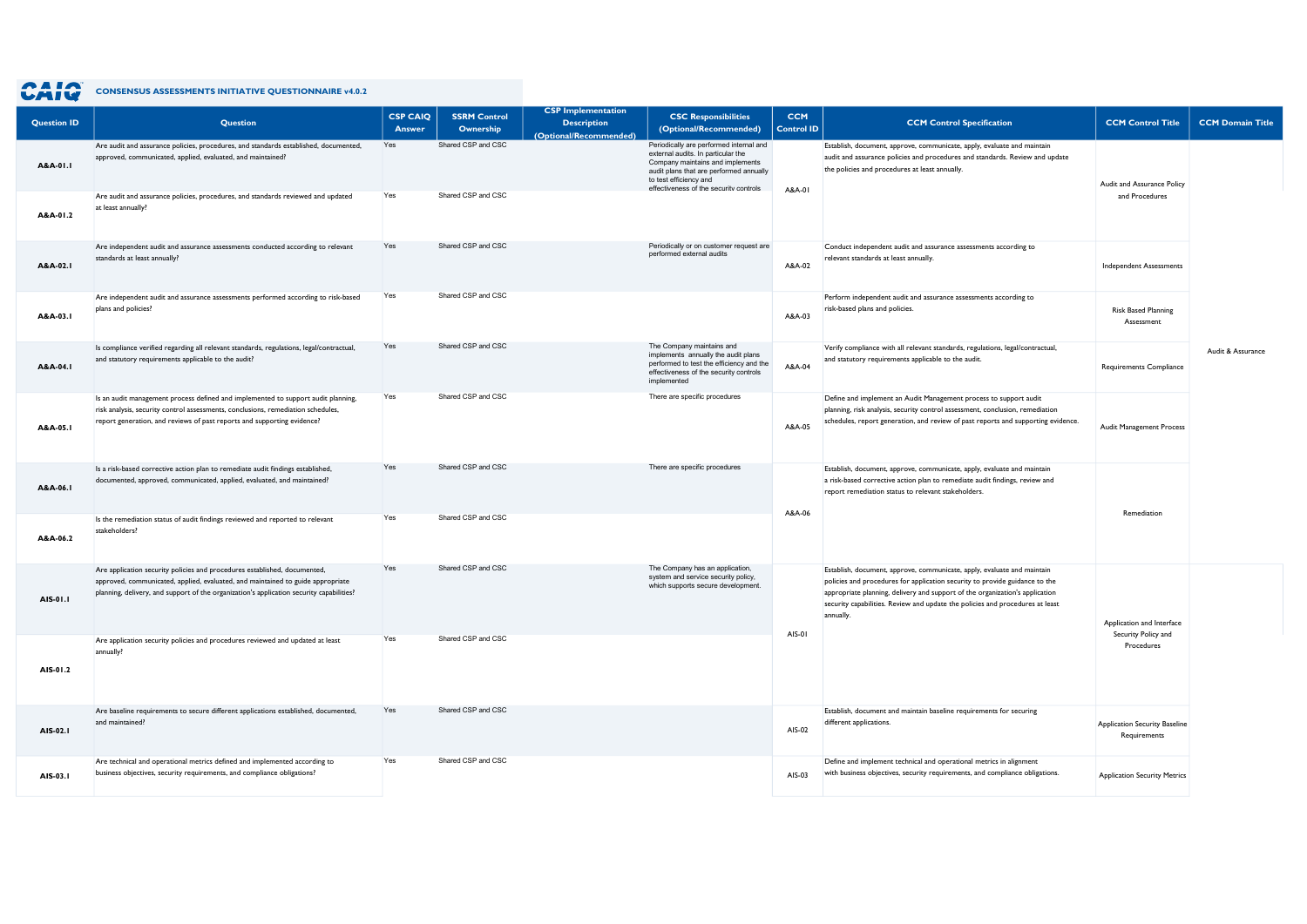| <b>Question ID</b> | <b>Question</b>                                                                                                                                                                                                                                          | <b>CSP CAIQ</b><br><b>Answer</b> | <b>SSRM Control</b><br><b>Ownership</b> | <b>CSP Implementation</b><br><b>Description</b><br>(Optional/Recommended) | <b>CSC Responsibilities</b><br>(Optional/Recommended)                                                                                                                                                                            | <b>CCM</b><br><b>Control ID</b> | <b>CCM Control Specification</b>                                                                                                                                                                                                                                                                                                     | <b>CCM Control Title</b>                         | <b>CCM Domain Title</b> |
|--------------------|----------------------------------------------------------------------------------------------------------------------------------------------------------------------------------------------------------------------------------------------------------|----------------------------------|-----------------------------------------|---------------------------------------------------------------------------|----------------------------------------------------------------------------------------------------------------------------------------------------------------------------------------------------------------------------------|---------------------------------|--------------------------------------------------------------------------------------------------------------------------------------------------------------------------------------------------------------------------------------------------------------------------------------------------------------------------------------|--------------------------------------------------|-------------------------|
| A&A-01.1           | Are audit and assurance policies, procedures, and standards established, documented,<br>approved, communicated, applied, evaluated, and maintained?                                                                                                      | Yes                              | Shared CSP and CSC                      |                                                                           | Periodically are performed internal and<br>external audits. In particular the<br>Company maintains and implements<br>audit plans that are performed annually<br>to test efficiency and<br>effectiveness of the security controls | A&A-01                          | Establish, document, approve, communicate, apply, evaluate and maintain<br>audit and assurance policies and procedures and standards. Review and update<br>the policies and procedures at least annually.                                                                                                                            | Audit and Assurance Policy                       |                         |
| A&A-01.2           | Are audit and assurance policies, procedures, and standards reviewed and updated<br>at least annually?                                                                                                                                                   | Yes                              | Shared CSP and CSC                      |                                                                           |                                                                                                                                                                                                                                  |                                 |                                                                                                                                                                                                                                                                                                                                      | and Procedures                                   |                         |
| A&A-02.1           | Are independent audit and assurance assessments conducted according to relevant<br>standards at least annually?                                                                                                                                          | Yes                              | Shared CSP and CSC                      |                                                                           | Periodically or on customer request are<br>performed external audits                                                                                                                                                             | A&A-02                          | Conduct independent audit and assurance assessments according to<br>relevant standards at least annually.                                                                                                                                                                                                                            | <b>Independent Assessments</b>                   |                         |
| A&A-03.1           | Are independent audit and assurance assessments performed according to risk-based<br>plans and policies?                                                                                                                                                 | Yes                              | Shared CSP and CSC                      |                                                                           |                                                                                                                                                                                                                                  | A&A-03                          | Perform independent audit and assurance assessments according to<br>risk-based plans and policies.                                                                                                                                                                                                                                   | <b>Risk Based Planning</b><br>Assessment         |                         |
| A&A-04.1           | Is compliance verified regarding all relevant standards, regulations, legal/contractual,<br>and statutory requirements applicable to the audit?                                                                                                          | Yes                              | Shared CSP and CSC                      |                                                                           | The Company maintains and<br>implements annually the audit plans<br>performed to test the efficiency and the<br>effectiveness of the security controls<br>implemented                                                            | A&A-04                          | Verify compliance with all relevant standards, regulations, legal/contractual,<br>and statutory requirements applicable to the audit.                                                                                                                                                                                                | Requirements Compliance                          | Audit & Assurance       |
| A&A-05.1           | Is an audit management process defined and implemented to support audit planning,<br>risk analysis, security control assessments, conclusions, remediation schedules,<br>report generation, and reviews of past reports and supporting evidence?         | Yes                              | Shared CSP and CSC                      |                                                                           | There are specific procedures                                                                                                                                                                                                    | A&A-05                          | Define and implement an Audit Management process to support audit<br>planning, risk analysis, security control assessment, conclusion, remediation<br>schedules, report generation, and review of past reports and supporting evidence.                                                                                              | Audit Management Process                         |                         |
| A&A-06.1           | Is a risk-based corrective action plan to remediate audit findings established,<br>documented, approved, communicated, applied, evaluated, and maintained?                                                                                               | Yes                              | Shared CSP and CSC                      |                                                                           | There are specific procedures                                                                                                                                                                                                    |                                 | Establish, document, approve, communicate, apply, evaluate and maintain<br>a risk-based corrective action plan to remediate audit findings, review and<br>report remediation status to relevant stakeholders.                                                                                                                        |                                                  |                         |
| A&A-06.2           | Is the remediation status of audit findings reviewed and reported to relevant<br>stakeholders?                                                                                                                                                           | Yes                              | Shared CSP and CSC                      |                                                                           |                                                                                                                                                                                                                                  | A&A-06                          |                                                                                                                                                                                                                                                                                                                                      | Remediation                                      |                         |
| AIS-01.1           | Are application security policies and procedures established, documented,<br>approved, communicated, applied, evaluated, and maintained to guide appropriate<br>planning, delivery, and support of the organization's application security capabilities? | Yes                              | Shared CSP and CSC                      |                                                                           | The Company has an application,<br>system and service security policy,<br>which supports secure development                                                                                                                      |                                 | Establish, document, approve, communicate, apply, evaluate and maintain<br>policies and procedures for application security to provide guidance to the<br>appropriate planning, delivery and support of the organization's application<br>security capabilities. Review and update the policies and procedures at least<br>annually. | Application and Interface<br>Security Policy and |                         |
| AIS-01.2           | Are application security policies and procedures reviewed and updated at least<br>annually?                                                                                                                                                              | Yes                              | Shared CSP and CSC                      |                                                                           |                                                                                                                                                                                                                                  | AIS-01                          |                                                                                                                                                                                                                                                                                                                                      | Procedures                                       |                         |
| AIS-02.1           | Are baseline requirements to secure different applications established, documented,<br>and maintained?                                                                                                                                                   | Yes                              | Shared CSP and CSC                      |                                                                           |                                                                                                                                                                                                                                  | AIS-02                          | Establish, document and maintain baseline requirements for securing<br>different applications.                                                                                                                                                                                                                                       | Application Security Baseline<br>Requirements    |                         |
| AIS-03.1           | Are technical and operational metrics defined and implemented according to<br>business objectives, security requirements, and compliance obligations?                                                                                                    | Yes                              | Shared CSP and CSC                      |                                                                           |                                                                                                                                                                                                                                  | AIS-03                          | Define and implement technical and operational metrics in alignment<br>with business objectives, security requirements, and compliance obligations.                                                                                                                                                                                  | <b>Application Security Metrics</b>              |                         |

## CONSENSUS ASSESSMENTS INITIATIVE QUESTIONNAIRE v4.0.2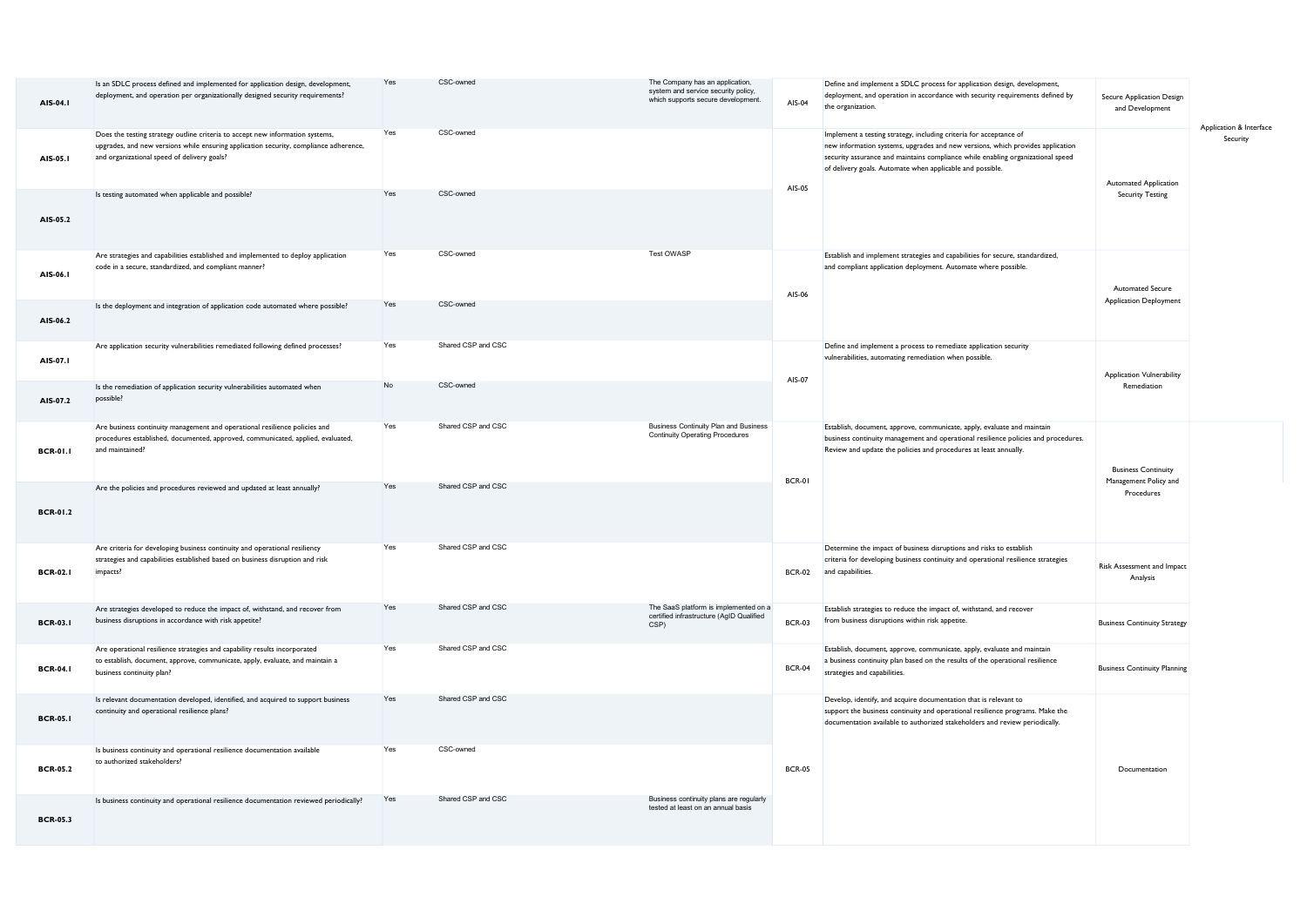| AIS-04.1        | Is an SDLC process defined and implemented for application design, development,<br>deployment, and operation per organizationally designed security requirements?                                                     | Yes | CSC-owned          | The Company has an application,<br>system and service security policy,<br>which supports secure development. | AIS-04        | Define and implement a SDLC process for application design, development,<br>deployment, and operation in accordance with security requirements defined by<br>the organization.                                                                                                                       | Secure Application Design<br>and Development |                                     |
|-----------------|-----------------------------------------------------------------------------------------------------------------------------------------------------------------------------------------------------------------------|-----|--------------------|--------------------------------------------------------------------------------------------------------------|---------------|------------------------------------------------------------------------------------------------------------------------------------------------------------------------------------------------------------------------------------------------------------------------------------------------------|----------------------------------------------|-------------------------------------|
| AIS-05.1        | Does the testing strategy outline criteria to accept new information systems,<br>upgrades, and new versions while ensuring application security, compliance adherence,<br>and organizational speed of delivery goals? | Yes | CSC-owned          |                                                                                                              |               | Implement a testing strategy, including criteria for acceptance of<br>new information systems, upgrades and new versions, which provides application<br>security assurance and maintains compliance while enabling organizational speed<br>of delivery goals. Automate when applicable and possible. | <b>Automated Application</b>                 | Application & Interface<br>Security |
| AIS-05.2        | Is testing automated when applicable and possible?                                                                                                                                                                    | Yes | CSC-owned          |                                                                                                              | AIS-05        |                                                                                                                                                                                                                                                                                                      | <b>Security Testing</b>                      |                                     |
| AIS-06.1        | Are strategies and capabilities established and implemented to deploy application<br>code in a secure, standardized, and compliant manner?                                                                            | Yes | CSC-owned          | Test OWASP                                                                                                   | AIS-06        | Establish and implement strategies and capabilities for secure, standardized,<br>and compliant application deployment. Automate where possible.                                                                                                                                                      | <b>Automated Secure</b>                      |                                     |
| AIS-06.2        | Is the deployment and integration of application code automated where possible?                                                                                                                                       | Yes | CSC-owned          |                                                                                                              |               |                                                                                                                                                                                                                                                                                                      | <b>Application Deployment</b>                |                                     |
| AIS-07.1        | Are application security vulnerabilities remediated following defined processes?                                                                                                                                      | Yes | Shared CSP and CSC |                                                                                                              |               | Define and implement a process to remediate application security<br>vulnerabilities, automating remediation when possible.                                                                                                                                                                           | <b>Application Vulnerability</b>             |                                     |
| AIS-07.2        | Is the remediation of application security vulnerabilities automated when<br>possible?                                                                                                                                | No  | CSC-owned          |                                                                                                              | AIS-07        |                                                                                                                                                                                                                                                                                                      | Remediation                                  |                                     |
| <b>BCR-01.1</b> | Are business continuity management and operational resilience policies and<br>procedures established, documented, approved, communicated, applied, evaluated,<br>and maintained?                                      | Yes | Shared CSP and CSC | <b>Business Continuity Plan and Business</b><br><b>Continuity Operating Procedures</b>                       |               | Establish, document, approve, communicate, apply, evaluate and maintain<br>business continuity management and operational resilience policies and procedures.<br>Review and update the policies and procedures at least annually.                                                                    | <b>Business Continuity</b>                   |                                     |
| <b>BCR-01.2</b> | Are the policies and procedures reviewed and updated at least annually?                                                                                                                                               | Yes | Shared CSP and CSC |                                                                                                              | BCR-01        |                                                                                                                                                                                                                                                                                                      | Management Policy and<br>Procedures          |                                     |
| <b>BCR-02.1</b> | Are criteria for developing business continuity and operational resiliency<br>strategies and capabilities established based on business disruption and risk<br>impacts?                                               | Yes | Shared CSP and CSC |                                                                                                              |               | Determine the impact of business disruptions and risks to establish<br>criteria for developing business continuity and operational resilience strategies<br>BCR-02 and capabilities.                                                                                                                 | Risk Assessment and Impact<br>Analysis       |                                     |
| <b>BCR-03.1</b> | Are strategies developed to reduce the impact of, withstand, and recover from<br>business disruptions in accordance with risk appetite?                                                                               | Yes | Shared CSP and CSC | The SaaS platform is implemented on a<br>certified infrastructure (AgID Qualified<br>CSP)                    | <b>BCR-03</b> | Establish strategies to reduce the impact of, withstand, and recover<br>from business disruptions within risk appetite.                                                                                                                                                                              | <b>Business Continuity Strategy</b>          |                                     |
| <b>BCR-04.1</b> | Are operational resilience strategies and capability results incorporated<br>to establish, document, approve, communicate, apply, evaluate, and maintain a<br>business continuity plan?                               | Yes | Shared CSP and CSC |                                                                                                              | <b>BCR-04</b> | Establish, document, approve, communicate, apply, evaluate and maintain<br>a business continuity plan based on the results of the operational resilience<br>strategies and capabilities.                                                                                                             | <b>Business Continuity Planning</b>          |                                     |
| <b>BCR-05.1</b> | Is relevant documentation developed, identified, and acquired to support business<br>continuity and operational resilience plans?                                                                                     | Yes | Shared CSP and CSC |                                                                                                              |               | Develop, identify, and acquire documentation that is relevant to<br>support the business continuity and operational resilience programs. Make the<br>documentation available to authorized stakeholders and review periodically.                                                                     |                                              |                                     |
| <b>BCR-05.2</b> | Is business continuity and operational resilience documentation available<br>to authorized stakeholders?                                                                                                              | Yes | CSC-owned          |                                                                                                              | <b>BCR-05</b> |                                                                                                                                                                                                                                                                                                      | Documentation                                |                                     |
| <b>BCR-05.3</b> | Is business continuity and operational resilience documentation reviewed periodically?                                                                                                                                | Yes | Shared CSP and CSC | Business continuity plans are regularly<br>tested at least on an annual basis                                |               |                                                                                                                                                                                                                                                                                                      |                                              |                                     |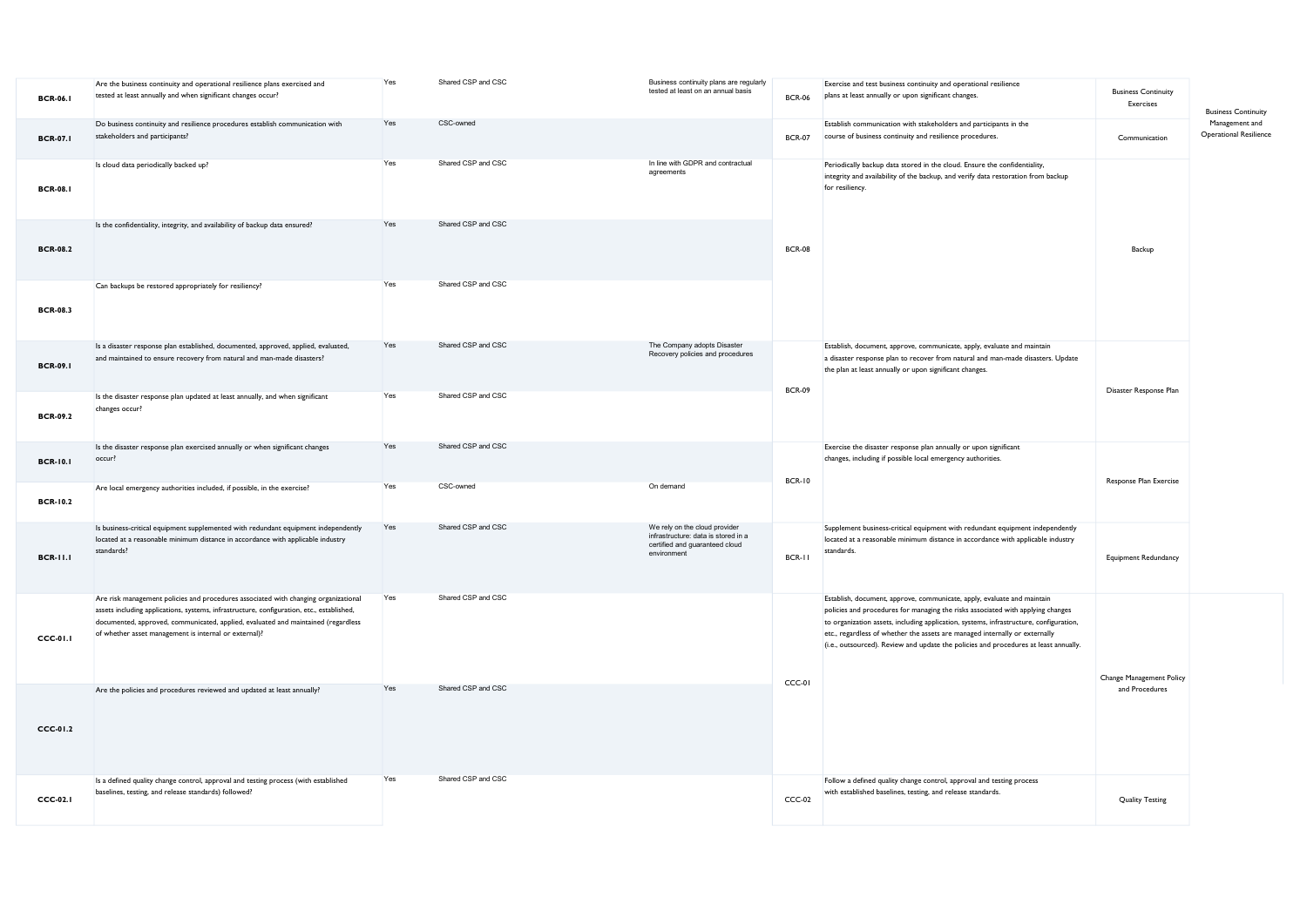| <b>BCR-06.1</b> | Are the business continuity and operational resilience plans exercised and<br>tested at least annually and when significant changes occur?                                                                                                                                                                                     | Yes | Shared CSP and CSC | Business continuity plans are regularly<br>tested at least on an annual basis                                         | <b>BCR-06</b> | Exercise and test business continuity and operational resilience<br>plans at least annually or upon significant changes.                                                                                                                                                                                                                                                                                                   |
|-----------------|--------------------------------------------------------------------------------------------------------------------------------------------------------------------------------------------------------------------------------------------------------------------------------------------------------------------------------|-----|--------------------|-----------------------------------------------------------------------------------------------------------------------|---------------|----------------------------------------------------------------------------------------------------------------------------------------------------------------------------------------------------------------------------------------------------------------------------------------------------------------------------------------------------------------------------------------------------------------------------|
| <b>BCR-07.1</b> | Do business continuity and resilience procedures establish communication with<br>stakeholders and participants?                                                                                                                                                                                                                | Yes | CSC-owned          |                                                                                                                       | <b>BCR-07</b> | Establish communication with stakeholders and participants in the<br>course of business continuity and resilience procedures.                                                                                                                                                                                                                                                                                              |
| <b>BCR-08.1</b> | Is cloud data periodically backed up?                                                                                                                                                                                                                                                                                          | Yes | Shared CSP and CSC | In line with GDPR and contractual<br>agreements                                                                       |               | Periodically backup data stored in the cloud. Ensure the confidentiality,<br>integrity and availability of the backup, and verify data restoration from backup<br>for resiliency.                                                                                                                                                                                                                                          |
| <b>BCR-08.2</b> | Is the confidentiality, integrity, and availability of backup data ensured?                                                                                                                                                                                                                                                    | Yes | Shared CSP and CSC |                                                                                                                       | <b>BCR-08</b> |                                                                                                                                                                                                                                                                                                                                                                                                                            |
| <b>BCR-08.3</b> | Can backups be restored appropriately for resiliency?                                                                                                                                                                                                                                                                          | Yes | Shared CSP and CSC |                                                                                                                       |               |                                                                                                                                                                                                                                                                                                                                                                                                                            |
| <b>BCR-09.1</b> | Is a disaster response plan established, documented, approved, applied, evaluated,<br>and maintained to ensure recovery from natural and man-made disasters?                                                                                                                                                                   | Yes | Shared CSP and CSC | The Company adopts Disaster<br>Recovery policies and procedures                                                       |               | Establish, document, approve, communicate, apply, evaluate and maintain<br>a disaster response plan to recover from natural and man-made disasters. Update<br>the plan at least annually or upon significant changes.                                                                                                                                                                                                      |
| <b>BCR-09.2</b> | Is the disaster response plan updated at least annually, and when significant<br>changes occur?                                                                                                                                                                                                                                | Yes | Shared CSP and CSC |                                                                                                                       | <b>BCR-09</b> |                                                                                                                                                                                                                                                                                                                                                                                                                            |
| <b>BCR-10.1</b> | Is the disaster response plan exercised annually or when significant changes<br>occur?                                                                                                                                                                                                                                         | Yes | Shared CSP and CSC |                                                                                                                       | <b>BCR-10</b> | Exercise the disaster response plan annually or upon significant<br>changes, including if possible local emergency authorities.                                                                                                                                                                                                                                                                                            |
| <b>BCR-10.2</b> | Are local emergency authorities included, if possible, in the exercise?                                                                                                                                                                                                                                                        | Yes | CSC-owned          | On demand                                                                                                             |               |                                                                                                                                                                                                                                                                                                                                                                                                                            |
| <b>BCR-11.1</b> | Is business-critical equipment supplemented with redundant equipment independently<br>located at a reasonable minimum distance in accordance with applicable industry<br>standards?                                                                                                                                            | Yes | Shared CSP and CSC | We rely on the cloud provider<br>infrastructure: data is stored in a<br>certified and guaranteed cloud<br>environment | BCR-11        | Supplement business-critical equipment with redundant equipment independently<br>located at a reasonable minimum distance in accordance with applicable industry<br>standards.                                                                                                                                                                                                                                             |
| <b>CCC-01.1</b> | Are risk management policies and procedures associated with changing organizational<br>assets including applications, systems, infrastructure, configuration, etc., established,<br>documented, approved, communicated, applied, evaluated and maintained (regardless<br>of whether asset management is internal or external)? | Yes | Shared CSP and CSC |                                                                                                                       |               | Establish, document, approve, communicate, apply, evaluate and maintain<br>policies and procedures for managing the risks associated with applying changes<br>to organization assets, including application, systems, infrastructure, configuration,<br>etc., regardless of whether the assets are managed internally or externally<br>(i.e., outsourced). Review and update the policies and procedures at least annually |
| <b>CCC-01.2</b> | Are the policies and procedures reviewed and updated at least annually?                                                                                                                                                                                                                                                        | Yes | Shared CSP and CSC |                                                                                                                       | CCC-01        |                                                                                                                                                                                                                                                                                                                                                                                                                            |
| <b>CCC-02.1</b> | Is a defined quality change control, approval and testing process (with established<br>baselines, testing, and release standards) followed?                                                                                                                                                                                    | Yes | Shared CSP and CSC |                                                                                                                       | CCC-02        | Follow a defined quality change control, approval and testing process<br>with established baselines, testing, and release standards.                                                                                                                                                                                                                                                                                       |

| Exercise and test business continuity and operational resilience<br>plans at least annually or upon significant changes.                                                                                                                                                                                                                                                                                                    | <b>Business Continuity</b><br><b>Exercises</b> | <b>Business Continuity</b>                      |  |  |
|-----------------------------------------------------------------------------------------------------------------------------------------------------------------------------------------------------------------------------------------------------------------------------------------------------------------------------------------------------------------------------------------------------------------------------|------------------------------------------------|-------------------------------------------------|--|--|
| Establish communication with stakeholders and participants in the<br>course of business continuity and resilience procedures.                                                                                                                                                                                                                                                                                               | Communication                                  | Management and<br><b>Operational Resilience</b> |  |  |
| Periodically backup data stored in the cloud. Ensure the confidentiality,<br>integrity and availability of the backup, and verify data restoration from backup<br>for resiliency.                                                                                                                                                                                                                                           | Backup                                         |                                                 |  |  |
| Establish, document, approve, communicate, apply, evaluate and maintain<br>a disaster response plan to recover from natural and man-made disasters. Update<br>the plan at least annually or upon significant changes.                                                                                                                                                                                                       | Disaster Response Plan                         |                                                 |  |  |
| Exercise the disaster response plan annually or upon significant<br>changes, including if possible local emergency authorities.                                                                                                                                                                                                                                                                                             | Response Plan Exercise                         |                                                 |  |  |
| Supplement business-critical equipment with redundant equipment independently<br>located at a reasonable minimum distance in accordance with applicable industry<br>standards.                                                                                                                                                                                                                                              | Equipment Redundancy                           |                                                 |  |  |
| Establish, document, approve, communicate, apply, evaluate and maintain<br>policies and procedures for managing the risks associated with applying changes<br>to organization assets, including application, systems, infrastructure, configuration,<br>etc., regardless of whether the assets are managed internally or externally<br>(i.e., outsourced). Review and update the policies and procedures at least annually. | Change Management Policy<br>and Procedures     |                                                 |  |  |
| Follow a defined quality change control, approval and testing process<br>with established baselines, testing, and release standards.                                                                                                                                                                                                                                                                                        | <b>Quality Testing</b>                         |                                                 |  |  |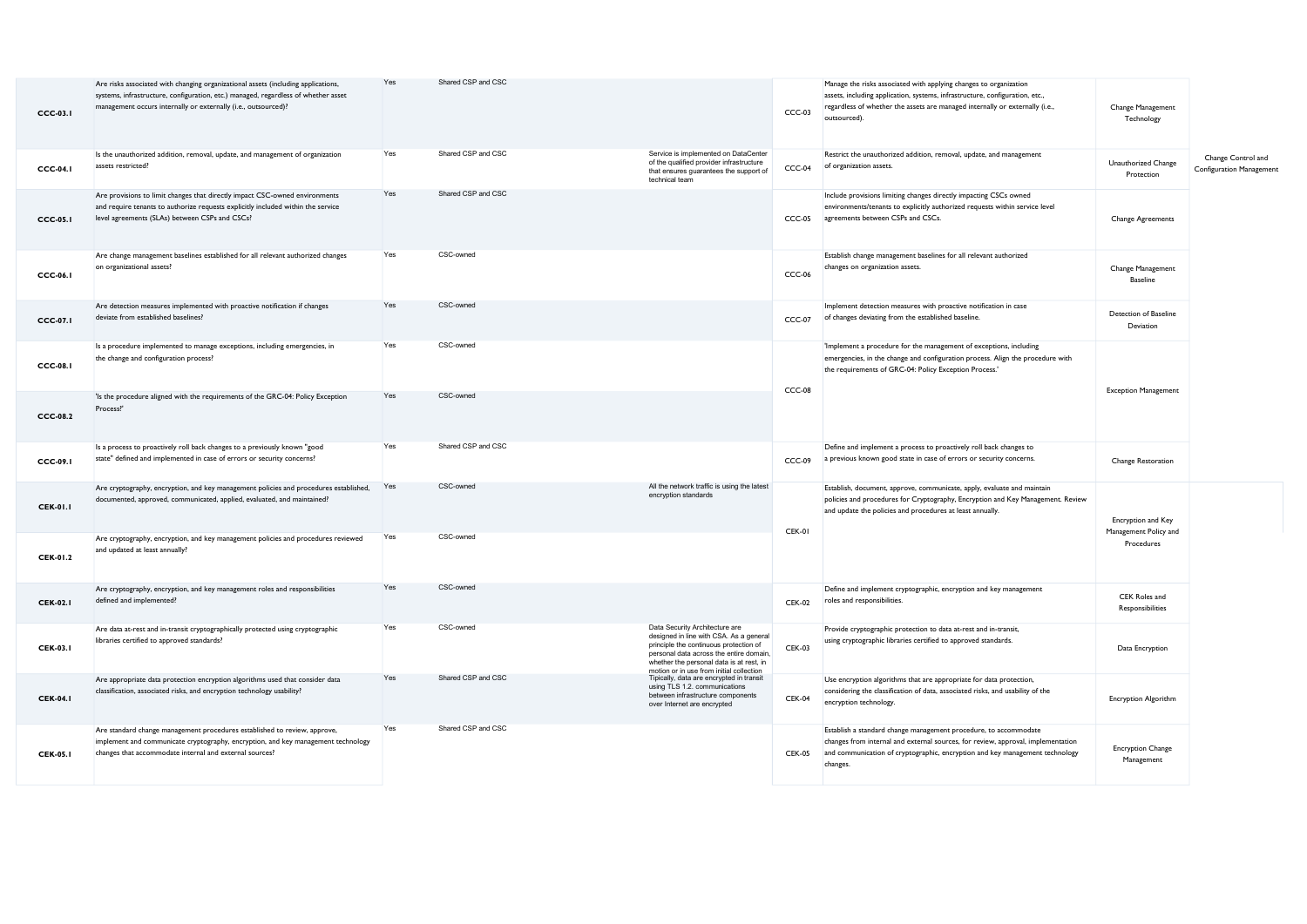| <b>CCC-03.1</b> | Are risks associated with changing organizational assets (including applications,<br>systems, infrastructure, configuration, etc.) managed, regardless of whether asset<br>management occurs internally or externally (i.e., outsourced)? | Yes | Shared CSP and CSC |                                                                                                                                                                                                                                                        | $CCC-03$      | Manage the risks associated with applying changes to organization<br>assets, including application, systems, infrastructure, configuration, etc.,<br>regardless of whether the assets are managed internally or externally (i.e.,<br>outsourced). | Change Management<br>Technology        |                                                       |
|-----------------|-------------------------------------------------------------------------------------------------------------------------------------------------------------------------------------------------------------------------------------------|-----|--------------------|--------------------------------------------------------------------------------------------------------------------------------------------------------------------------------------------------------------------------------------------------------|---------------|---------------------------------------------------------------------------------------------------------------------------------------------------------------------------------------------------------------------------------------------------|----------------------------------------|-------------------------------------------------------|
| <b>CCC-04.1</b> | Is the unauthorized addition, removal, update, and management of organization<br>assets restricted?                                                                                                                                       | Yes | Shared CSP and CSC | Service is implemented on DataCenter<br>of the qualified provider infrastructure<br>that ensures guarantees the support of<br>technical team                                                                                                           | CCC-04        | Restrict the unauthorized addition, removal, update, and management<br>of organization assets.                                                                                                                                                    | Unauthorized Change<br>Protection      | Change Control and<br><b>Configuration Management</b> |
| <b>CCC-05.1</b> | Are provisions to limit changes that directly impact CSC-owned environments<br>and require tenants to authorize requests explicitly included within the service<br>level agreements (SLAs) between CSPs and CSCs?                         | Yes | Shared CSP and CSC |                                                                                                                                                                                                                                                        | CCC-05        | Include provisions limiting changes directly impacting CSCs owned<br>environments/tenants to explicitly authorized requests within service level<br>agreements between CSPs and CSCs.                                                             | <b>Change Agreements</b>               |                                                       |
| <b>CCC-06.1</b> | Are change management baselines established for all relevant authorized changes<br>on organizational assets?                                                                                                                              | Yes | CSC-owned          |                                                                                                                                                                                                                                                        | CCC-06        | Establish change management baselines for all relevant authorized<br>changes on organization assets.                                                                                                                                              | Change Management<br><b>Baseline</b>   |                                                       |
| <b>CCC-07.1</b> | Are detection measures implemented with proactive notification if changes<br>deviate from established baselines?                                                                                                                          | Yes | CSC-owned          |                                                                                                                                                                                                                                                        | CCC-07        | Implement detection measures with proactive notification in case<br>of changes deviating from the established baseline.                                                                                                                           | Detection of Baseline<br>Deviation     |                                                       |
| <b>CCC-08.1</b> | Is a procedure implemented to manage exceptions, including emergencies, in<br>the change and configuration process?                                                                                                                       | Yes | CSC-owned          |                                                                                                                                                                                                                                                        | CCC-08        | 'Implement a procedure for the management of exceptions, including<br>emergencies, in the change and configuration process. Align the procedure with<br>the requirements of GRC-04: Policy Exception Process.'                                    |                                        |                                                       |
| <b>CCC-08.2</b> | 'Is the procedure aligned with the requirements of the GRC-04: Policy Exception<br>Process?'                                                                                                                                              | Yes | CSC-owned          |                                                                                                                                                                                                                                                        |               |                                                                                                                                                                                                                                                   | <b>Exception Management</b>            |                                                       |
| <b>CCC-09.1</b> | Is a process to proactively roll back changes to a previously known "good<br>state" defined and implemented in case of errors or security concerns?                                                                                       | Yes | Shared CSP and CSC |                                                                                                                                                                                                                                                        | CCC-09        | Define and implement a process to proactively roll back changes to<br>a previous known good state in case of errors or security concerns.                                                                                                         | Change Restoration                     |                                                       |
| <b>CEK-01.1</b> | Are cryptography, encryption, and key management policies and procedures established,<br>documented, approved, communicated, applied, evaluated, and maintained?                                                                          | Yes | CSC-owned          | All the network traffic is using the latest<br>encryption standards                                                                                                                                                                                    |               | Establish, document, approve, communicate, apply, evaluate and maintain<br>policies and procedures for Cryptography, Encryption and Key Management. Review<br>and update the policies and procedures at least annually.                           | Encryption and Key                     |                                                       |
| <b>CEK-01.2</b> | Are cryptography, encryption, and key management policies and procedures reviewed<br>and updated at least annually?                                                                                                                       | Yes | CSC-owned          |                                                                                                                                                                                                                                                        | CEK-01        |                                                                                                                                                                                                                                                   | Management Policy and<br>Procedures    |                                                       |
| <b>CEK-02.1</b> | Are cryptography, encryption, and key management roles and responsibilities<br>defined and implemented?                                                                                                                                   | Yes | CSC-owned          |                                                                                                                                                                                                                                                        | <b>CEK-02</b> | Define and implement cryptographic, encryption and key management<br>roles and responsibilities.                                                                                                                                                  | CEK Roles and<br>Responsibilities      |                                                       |
| <b>CEK-03.1</b> | Are data at-rest and in-transit cryptographically protected using cryptographic<br>libraries certified to approved standards?                                                                                                             | Yes | CSC-owned          | Data Security Architecture are<br>designed in line with CSA. As a general<br>principle the continuous protection of<br>personal data across the entire domain,<br>whether the personal data is at rest, in<br>motion or in use from initial collection | <b>CEK-03</b> | Provide cryptographic protection to data at-rest and in-transit,<br>using cryptographic libraries certified to approved standards.                                                                                                                | Data Encryption                        |                                                       |
| <b>CEK-04.1</b> | Are appropriate data protection encryption algorithms used that consider data<br>classification, associated risks, and encryption technology usability?                                                                                   | Yes | Shared CSP and CSC | Tipically, data are encrypted in transit<br>using TLS 1.2. communications<br>between infrastructure components<br>over Internet are encrypted                                                                                                          | <b>CEK-04</b> | Use encryption algorithms that are appropriate for data protection,<br>considering the classification of data, associated risks, and usability of the<br>encryption technology.                                                                   | <b>Encryption Algorithm</b>            |                                                       |
| <b>CEK-05.1</b> | Are standard change management procedures established to review, approve,<br>implement and communicate cryptography, encryption, and key management technology<br>changes that accommodate internal and external sources?                 | Yes | Shared CSP and CSC |                                                                                                                                                                                                                                                        | CEK-05        | Establish a standard change management procedure, to accommodate<br>changes from internal and external sources, for review, approval, implementation<br>and communication of cryptographic, encryption and key management technology<br>changes.  | <b>Encryption Change</b><br>Management |                                                       |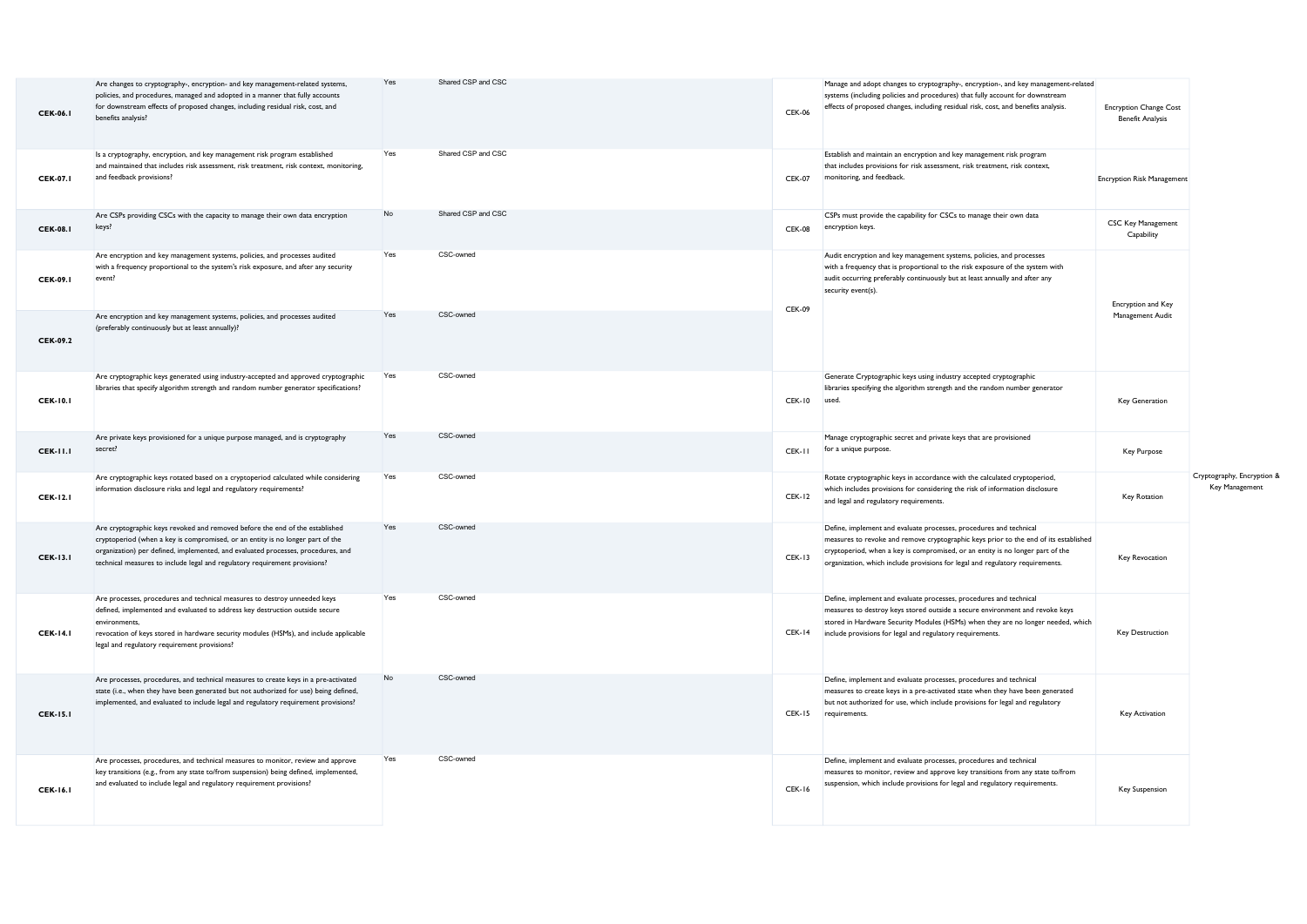| <b>CEK-06.1</b> | Are changes to cryptography-, encryption- and key management-related systems,<br>policies, and procedures, managed and adopted in a manner that fully accounts<br>for downstream effects of proposed changes, including residual risk, cost, and<br>benefits analysis?                                                           | Yes | Shared CSP and CSC | <b>CEK-06</b> | Manage and adopt changes to cryptography-, encryption-, and key management-related<br>systems (including policies and procedures) that fully account for downstream<br>effects of proposed changes, including residual risk, cost, and benefits analysis.                                                                     | <b>Encryption Change Cost</b><br><b>Benefit Analysis</b> |                                              |
|-----------------|----------------------------------------------------------------------------------------------------------------------------------------------------------------------------------------------------------------------------------------------------------------------------------------------------------------------------------|-----|--------------------|---------------|-------------------------------------------------------------------------------------------------------------------------------------------------------------------------------------------------------------------------------------------------------------------------------------------------------------------------------|----------------------------------------------------------|----------------------------------------------|
| <b>CEK-07.1</b> | Is a cryptography, encryption, and key management risk program established<br>and maintained that includes risk assessment, risk treatment, risk context, monitoring,<br>and feedback provisions?                                                                                                                                | Yes | Shared CSP and CSC | <b>CEK-07</b> | Establish and maintain an encryption and key management risk program<br>that includes provisions for risk assessment, risk treatment, risk context,<br>monitoring, and feedback.                                                                                                                                              | <b>Encryption Risk Management</b>                        |                                              |
| <b>CEK-08.1</b> | Are CSPs providing CSCs with the capacity to manage their own data encryption<br>keys?                                                                                                                                                                                                                                           | No  | Shared CSP and CSC | <b>CEK-08</b> | CSPs must provide the capability for CSCs to manage their own data<br>encryption keys.                                                                                                                                                                                                                                        | <b>CSC Key Management</b><br>Capability                  |                                              |
| <b>CEK-09.1</b> | Are encryption and key management systems, policies, and processes audited<br>with a frequency proportional to the system's risk exposure, and after any security<br>event?                                                                                                                                                      | Yes | CSC-owned          |               | Audit encryption and key management systems, policies, and processes<br>with a frequency that is proportional to the risk exposure of the system with<br>audit occurring preferably continuously but at least annually and after any<br>security event(s).                                                                    | <b>Encryption and Key</b>                                |                                              |
| <b>CEK-09.2</b> | Are encryption and key management systems, policies, and processes audited<br>(preferably continuously but at least annually)?                                                                                                                                                                                                   | Yes | CSC-owned          | CEK-09        |                                                                                                                                                                                                                                                                                                                               | Management Audit                                         |                                              |
| <b>CEK-10.1</b> | Are cryptographic keys generated using industry-accepted and approved cryptographic<br>libraries that specify algorithm strength and random number generator specifications?                                                                                                                                                     | Yes | CSC-owned          | <b>CEK-10</b> | Generate Cryptographic keys using industry accepted cryptographic<br>libraries specifying the algorithm strength and the random number generator<br>used.                                                                                                                                                                     | Key Generation                                           |                                              |
| <b>CEK-11.1</b> | Are private keys provisioned for a unique purpose managed, and is cryptography<br>secret?                                                                                                                                                                                                                                        | Yes | CSC-owned          | CEK-II        | Manage cryptographic secret and private keys that are provisioned<br>for a unique purpose.                                                                                                                                                                                                                                    | Key Purpose                                              |                                              |
| <b>CEK-12.1</b> | Are cryptographic keys rotated based on a cryptoperiod calculated while considering<br>information disclosure risks and legal and regulatory requirements?                                                                                                                                                                       | Yes | CSC-owned          | <b>CEK-12</b> | Rotate cryptographic keys in accordance with the calculated cryptoperiod,<br>which includes provisions for considering the risk of information disclosure<br>and legal and regulatory requirements.                                                                                                                           | Key Rotation                                             | Cryptography, Encryption &<br>Key Management |
| <b>CEK-13.1</b> | Are cryptographic keys revoked and removed before the end of the established<br>cryptoperiod (when a key is compromised, or an entity is no longer part of the<br>organization) per defined, implemented, and evaluated processes, procedures, and<br>technical measures to include legal and regulatory requirement provisions? | Yes | CSC-owned          | <b>CEK-13</b> | Define, implement and evaluate processes, procedures and technical<br>measures to revoke and remove cryptographic keys prior to the end of its established<br>cryptoperiod, when a key is compromised, or an entity is no longer part of the<br>organization, which include provisions for legal and regulatory requirements. | Key Revocation                                           |                                              |
| <b>CEK-14.1</b> | Are processes, procedures and technical measures to destroy unneeded keys<br>defined, implemented and evaluated to address key destruction outside secure<br>environments,<br>revocation of keys stored in hardware security modules (HSMs), and include applicable<br>legal and regulatory requirement provisions?              | Yes | CSC-owned          |               | Define, implement and evaluate processes, procedures and technical<br>measures to destroy keys stored outside a secure environment and revoke keys<br>stored in Hardware Security Modules (HSMs) when they are no longer needed, which<br>CEK-14 include provisions for legal and regulatory requirements.                    | <b>Key Destruction</b>                                   |                                              |
| <b>CEK-15.1</b> | Are processes, procedures, and technical measures to create keys in a pre-activated<br>state (i.e., when they have been generated but not authorized for use) being defined,<br>implemented, and evaluated to include legal and regulatory requirement provisions?                                                               | No  | CSC-owned          | <b>CEK-15</b> | Define, implement and evaluate processes, procedures and technical<br>measures to create keys in a pre-activated state when they have been generated<br>but not authorized for use, which include provisions for legal and regulatory<br>requirements.                                                                        | Key Activation                                           |                                              |
| <b>CEK-16.1</b> | Are processes, procedures, and technical measures to monitor, review and approve<br>key transitions (e.g., from any state to/from suspension) being defined, implemented,<br>and evaluated to include legal and regulatory requirement provisions?                                                                               | Yes | CSC-owned          | CEK-16        | Define, implement and evaluate processes, procedures and technical<br>measures to monitor, review and approve key transitions from any state to/from<br>suspension, which include provisions for legal and regulatory requirements.                                                                                           | <b>Key Suspension</b>                                    |                                              |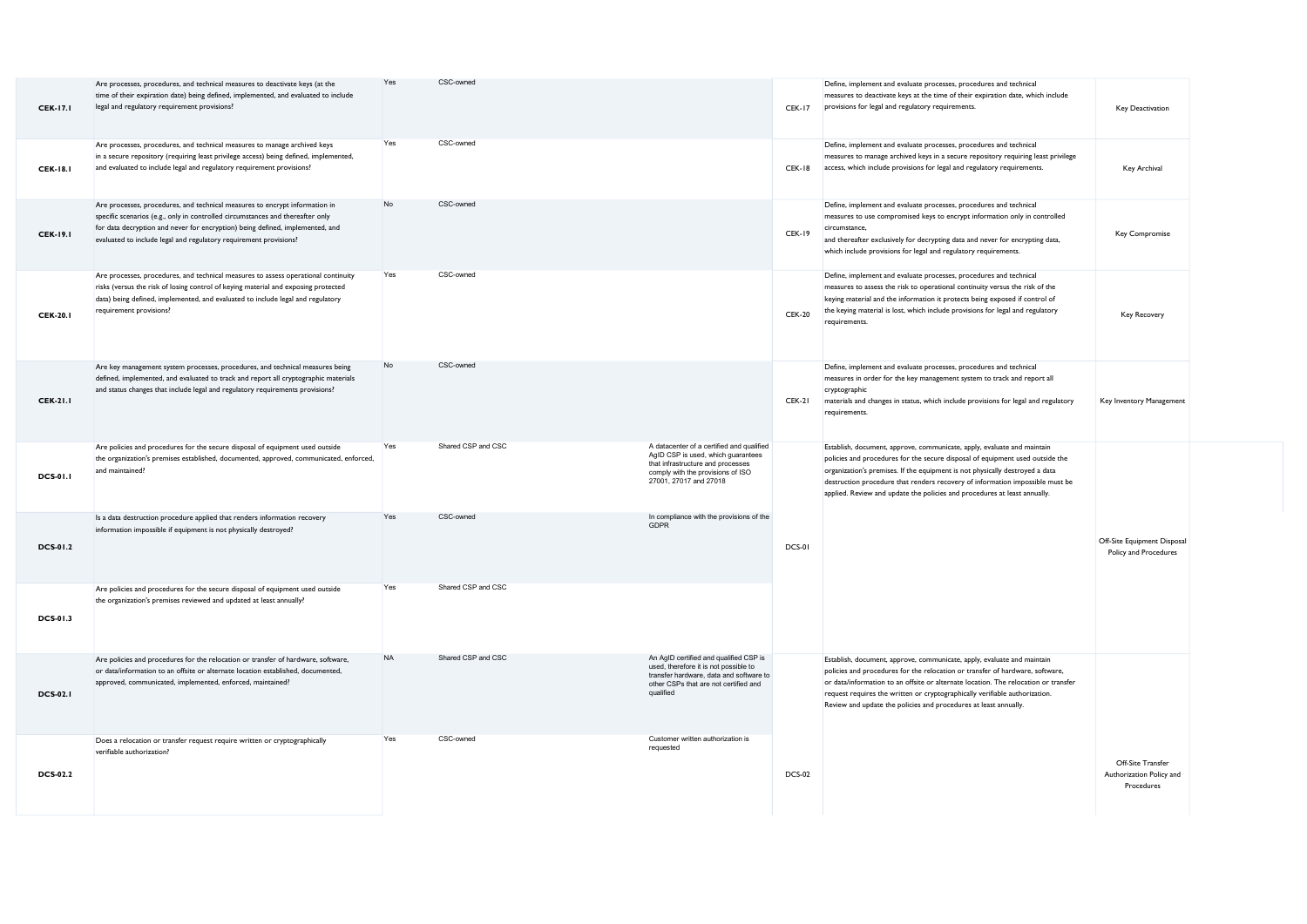| <b>CEK-17.1</b> | Are processes, procedures, and technical measures to deactivate keys (at the<br>time of their expiration date) being defined, implemented, and evaluated to include<br>legal and regulatory requirement provisions?                                                                                                 | Yes       | CSC-owned          |                                                                                                                                                                                     | <b>CEK-17</b> | Define, implement and evaluate processes, procedures and technical<br>measures to deactivate keys at the time of their expiration date, which include<br>provisions for legal and regulatory requirements.                                                                                                                                                                                             | Key Deactivation                                            |
|-----------------|---------------------------------------------------------------------------------------------------------------------------------------------------------------------------------------------------------------------------------------------------------------------------------------------------------------------|-----------|--------------------|-------------------------------------------------------------------------------------------------------------------------------------------------------------------------------------|---------------|--------------------------------------------------------------------------------------------------------------------------------------------------------------------------------------------------------------------------------------------------------------------------------------------------------------------------------------------------------------------------------------------------------|-------------------------------------------------------------|
| <b>CEK-18.1</b> | Are processes, procedures, and technical measures to manage archived keys<br>in a secure repository (requiring least privilege access) being defined, implemented,<br>and evaluated to include legal and regulatory requirement provisions?                                                                         | Yes       | CSC-owned          |                                                                                                                                                                                     | CEK-18        | Define, implement and evaluate processes, procedures and technical<br>measures to manage archived keys in a secure repository requiring least privilege<br>access, which include provisions for legal and regulatory requirements.                                                                                                                                                                     | Key Archival                                                |
| <b>CEK-19.1</b> | Are processes, procedures, and technical measures to encrypt information in<br>specific scenarios (e.g., only in controlled circumstances and thereafter only<br>for data decryption and never for encryption) being defined, implemented, and<br>evaluated to include legal and regulatory requirement provisions? | No        | CSC-owned          |                                                                                                                                                                                     | <b>CEK-19</b> | Define, implement and evaluate processes, procedures and technical<br>measures to use compromised keys to encrypt information only in controlled<br>circumstance,<br>and thereafter exclusively for decrypting data and never for encrypting data,<br>which include provisions for legal and regulatory requirements.                                                                                  | <b>Key Compromise</b>                                       |
| <b>CEK-20.1</b> | Are processes, procedures, and technical measures to assess operational continuity<br>risks (versus the risk of losing control of keying material and exposing protected<br>data) being defined, implemented, and evaluated to include legal and regulatory<br>requirement provisions?                              | Yes       | CSC-owned          |                                                                                                                                                                                     | <b>CEK-20</b> | Define, implement and evaluate processes, procedures and technical<br>measures to assess the risk to operational continuity versus the risk of the<br>keying material and the information it protects being exposed if control of<br>the keying material is lost, which include provisions for legal and regulatory<br>requirements.                                                                   | Key Recovery                                                |
| <b>CEK-21.1</b> | Are key management system processes, procedures, and technical measures being<br>defined, implemented, and evaluated to track and report all cryptographic materials<br>and status changes that include legal and regulatory requirements provisions?                                                               | No        | CSC-owned          |                                                                                                                                                                                     | CEK-21        | Define, implement and evaluate processes, procedures and technical<br>measures in order for the key management system to track and report all<br>cryptographic<br>materials and changes in status, which include provisions for legal and regulatory<br>requirements.                                                                                                                                  | Key Inventory Management                                    |
| <b>DCS-01.1</b> | Are policies and procedures for the secure disposal of equipment used outside<br>the organization's premises established, documented, approved, communicated, enforced,<br>and maintained?                                                                                                                          | Yes       | Shared CSP and CSC | A datacenter of a certified and qualified<br>AgID CSP is used, which guarantees<br>that infrastructure and processes<br>comply with the provisions of ISO<br>27001, 27017 and 27018 |               | Establish, document, approve, communicate, apply, evaluate and maintain<br>policies and procedures for the secure disposal of equipment used outside the<br>organization's premises. If the equipment is not physically destroyed a data<br>destruction procedure that renders recovery of information impossible must be<br>applied. Review and update the policies and procedures at least annually. |                                                             |
| <b>DCS-01.2</b> | Is a data destruction procedure applied that renders information recovery<br>information impossible if equipment is not physically destroyed?                                                                                                                                                                       | Yes       | CSC-owned          | In compliance with the provisions of the<br><b>GDPR</b>                                                                                                                             | DCS-01        |                                                                                                                                                                                                                                                                                                                                                                                                        | Off-Site Equipment Disposal<br>Policy and Procedures        |
| <b>DCS-01.3</b> | Are policies and procedures for the secure disposal of equipment used outside<br>the organization's premises reviewed and updated at least annually?                                                                                                                                                                | Yes       | Shared CSP and CSC |                                                                                                                                                                                     |               |                                                                                                                                                                                                                                                                                                                                                                                                        |                                                             |
| <b>DCS-02.1</b> | Are policies and procedures for the relocation or transfer of hardware, software,<br>or data/information to an offsite or alternate location established, documented,<br>approved, communicated, implemented, enforced, maintained?                                                                                 | <b>NA</b> | Shared CSP and CSC | An AgID certified and qualified CSP is<br>used, therefore it is not possible to<br>transfer hardware, data and software to<br>other CSPs that are not certified and<br>qualified    |               | Establish, document, approve, communicate, apply, evaluate and maintain<br>policies and procedures for the relocation or transfer of hardware, software,<br>or data/information to an offsite or alternate location. The relocation or transfer<br>request requires the written or cryptographically verifiable authorization.<br>Review and update the policies and procedures at least annually.     |                                                             |
| <b>DCS-02.2</b> | Does a relocation or transfer request require written or cryptographically<br>verifiable authorization?                                                                                                                                                                                                             | Yes       | CSC-owned          | Customer written authorization is<br>requested                                                                                                                                      | <b>DCS-02</b> |                                                                                                                                                                                                                                                                                                                                                                                                        | Off-Site Transfer<br>Authorization Policy and<br>Procedures |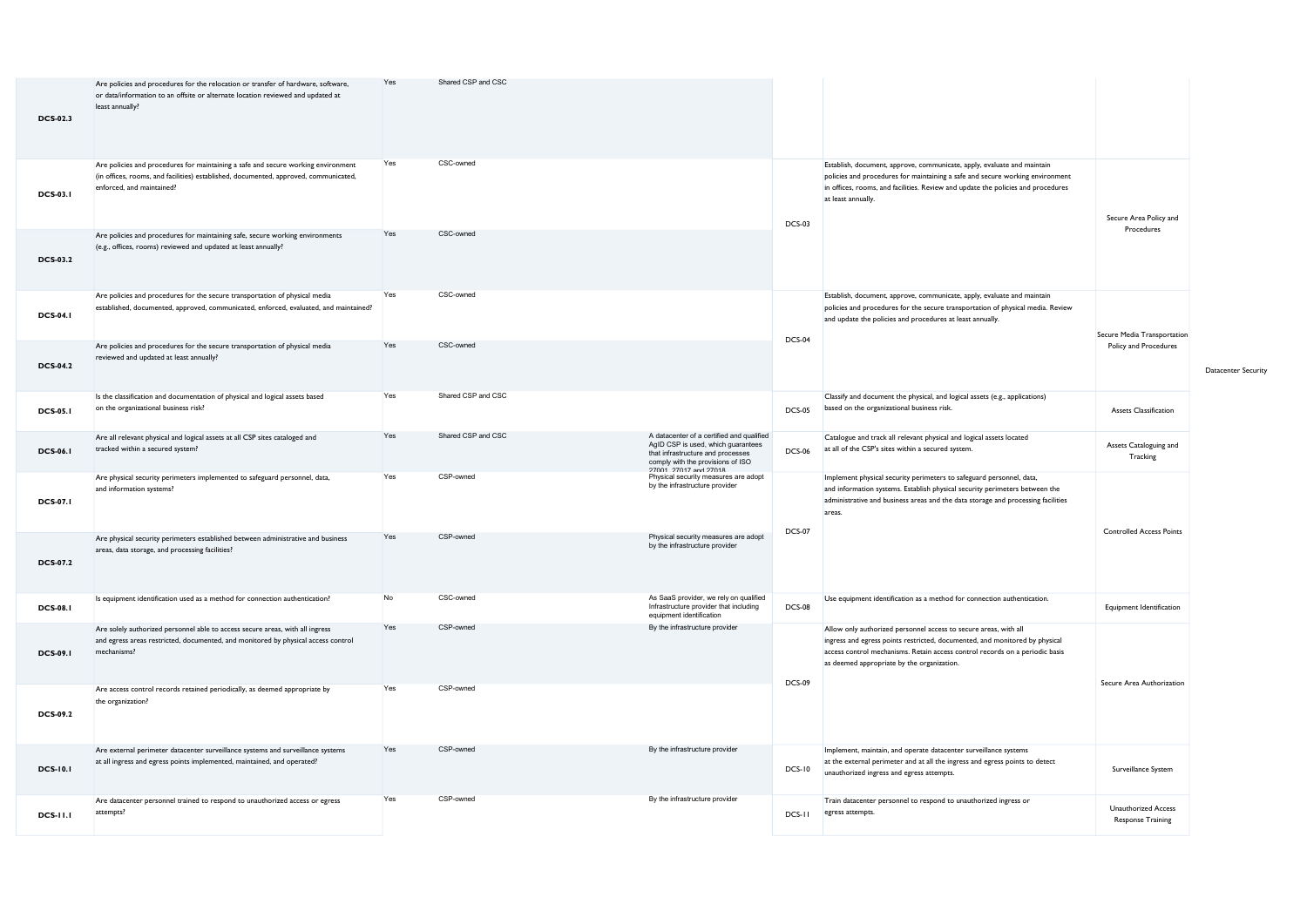| <b>DCS-02.3</b> | Are policies and procedures for the relocation or transfer of hardware, software,<br>or data/information to an offsite or alternate location reviewed and updated at<br>least annually?                | Yes | Shared CSP and CSC |                                                                                                                                                                                    |               |                                                                                                                                                                                                                                                                               |                                                        |
|-----------------|--------------------------------------------------------------------------------------------------------------------------------------------------------------------------------------------------------|-----|--------------------|------------------------------------------------------------------------------------------------------------------------------------------------------------------------------------|---------------|-------------------------------------------------------------------------------------------------------------------------------------------------------------------------------------------------------------------------------------------------------------------------------|--------------------------------------------------------|
| <b>DCS-03.1</b> | Are policies and procedures for maintaining a safe and secure working environment<br>(in offices, rooms, and facilities) established, documented, approved, communicated,<br>enforced, and maintained? | Yes | CSC-owned          |                                                                                                                                                                                    | <b>DCS-03</b> | Establish, document, approve, communicate, apply, evaluate and maintain<br>policies and procedures for maintaining a safe and secure working environment<br>in offices, rooms, and facilities. Review and update the policies and procedures<br>at least annually.            | Secure Area Policy and                                 |
| <b>DCS-03.2</b> | Are policies and procedures for maintaining safe, secure working environments<br>(e.g., offices, rooms) reviewed and updated at least annually?                                                        | Yes | CSC-owned          |                                                                                                                                                                                    |               |                                                                                                                                                                                                                                                                               | Procedures                                             |
| <b>DCS-04.1</b> | Are policies and procedures for the secure transportation of physical media<br>established, documented, approved, communicated, enforced, evaluated, and maintained?                                   | Yes | CSC-owned          |                                                                                                                                                                                    |               | Establish, document, approve, communicate, apply, evaluate and maintain<br>policies and procedures for the secure transportation of physical media. Review<br>and update the policies and procedures at least annually.                                                       | Secure Media Transportation                            |
| <b>DCS-04.2</b> | Are policies and procedures for the secure transportation of physical media<br>reviewed and updated at least annually?                                                                                 | Yes | CSC-owned          |                                                                                                                                                                                    | <b>DCS-04</b> |                                                                                                                                                                                                                                                                               | Policy and Procedures                                  |
| <b>DCS-05.1</b> | Is the classification and documentation of physical and logical assets based<br>on the organizational business risk?                                                                                   | Yes | Shared CSP and CSC |                                                                                                                                                                                    | <b>DCS-05</b> | Classify and document the physical, and logical assets (e.g., applications)<br>based on the organizational business risk.                                                                                                                                                     | <b>Assets Classification</b>                           |
| <b>DCS-06.1</b> | Are all relevant physical and logical assets at all CSP sites cataloged and<br>tracked within a secured system?                                                                                        | Yes | Shared CSP and CSC | A datacenter of a certified and qualified<br>AgID CSP is used, which guarantees<br>that infrastructure and processes<br>comply with the provisions of ISO<br>27001 27017 and 27018 | <b>DCS-06</b> | Catalogue and track all relevant physical and logical assets located<br>at all of the CSP's sites within a secured system.                                                                                                                                                    | Assets Cataloguing and<br>Tracking                     |
| <b>DCS-07.1</b> | Are physical security perimeters implemented to safeguard personnel, data,<br>and information systems?                                                                                                 | Yes | CSP-owned          | Physical security measures are adopt<br>by the infrastructure provider                                                                                                             |               | Implement physical security perimeters to safeguard personnel, data,<br>and information systems. Establish physical security perimeters between the<br>administrative and business areas and the data storage and processing facilities<br>areas.                             |                                                        |
| <b>DCS-07.2</b> | Are physical security perimeters established between administrative and business<br>areas, data storage, and processing facilities?                                                                    | Yes | CSP-owned          | Physical security measures are adopt<br>by the infrastructure provider                                                                                                             | <b>DCS-07</b> |                                                                                                                                                                                                                                                                               | <b>Controlled Access Points</b>                        |
| <b>DCS-08.1</b> | Is equipment identification used as a method for connection authentication?                                                                                                                            | No  | CSC-owned          | As SaaS provider, we rely on qualified<br>Infrastructure provider that including<br>equipment identification                                                                       | DCS-08        | Use equipment identification as a method for connection authentication.                                                                                                                                                                                                       | Equipment Identification                               |
| <b>DCS-09.1</b> | Are solely authorized personnel able to access secure areas, with all ingress<br>and egress areas restricted, documented, and monitored by physical access control<br>mechanisms?                      | Yes | CSP-owned          | By the infrastructure provider                                                                                                                                                     |               | Allow only authorized personnel access to secure areas, with all<br>ingress and egress points restricted, documented, and monitored by physical<br>access control mechanisms. Retain access control records on a periodic basis<br>as deemed appropriate by the organization. |                                                        |
| <b>DCS-09.2</b> | Are access control records retained periodically, as deemed appropriate by<br>the organization?                                                                                                        | Yes | CSP-owned          |                                                                                                                                                                                    | <b>DCS-09</b> |                                                                                                                                                                                                                                                                               | Secure Area Authorization                              |
| <b>DCS-10.1</b> | Are external perimeter datacenter surveillance systems and surveillance systems<br>at all ingress and egress points implemented, maintained, and operated?                                             | Yes | CSP-owned          | By the infrastructure provider                                                                                                                                                     | <b>DCS-10</b> | Implement, maintain, and operate datacenter surveillance systems<br>at the external perimeter and at all the ingress and egress points to detect<br>unauthorized ingress and egress attempts.                                                                                 | Surveillance System                                    |
| <b>DCS-11.1</b> | Are datacenter personnel trained to respond to unauthorized access or egress<br>attempts?                                                                                                              | Yes | CSP-owned          | By the infrastructure provider                                                                                                                                                     | DCS-11        | Train datacenter personnel to respond to unauthorized ingress or<br>egress attempts.                                                                                                                                                                                          | <b>Unauthorized Access</b><br><b>Response Training</b> |

Datacenter Security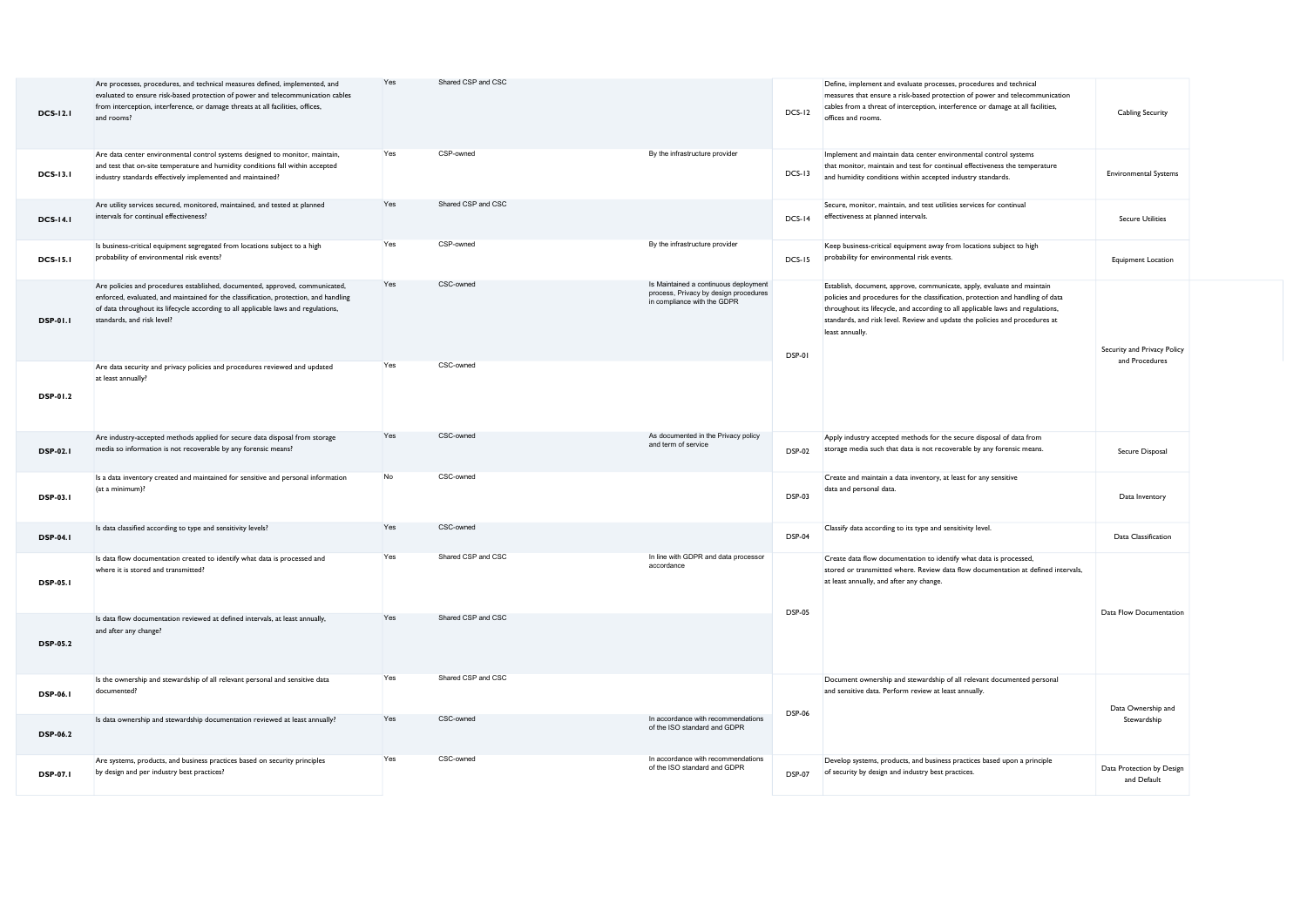| <b>DCS-12.1</b> | Are processes, procedures, and technical measures defined, implemented, and<br>evaluated to ensure risk-based protection of power and telecommunication cables<br>from interception, interference, or damage threats at all facilities, offices,<br>and rooms?                           | Yes | Shared CSP and CSC |                                                                                                               | DCS-12        | Define, implement and evaluate processes, procedures and technical<br>measures that ensure a risk-based protection of power and telecommunication<br>cables from a threat of interception, interference or damage at all facilities,<br>offices and rooms.                                                                                      | <b>Cabling Security</b>                  |  |
|-----------------|------------------------------------------------------------------------------------------------------------------------------------------------------------------------------------------------------------------------------------------------------------------------------------------|-----|--------------------|---------------------------------------------------------------------------------------------------------------|---------------|-------------------------------------------------------------------------------------------------------------------------------------------------------------------------------------------------------------------------------------------------------------------------------------------------------------------------------------------------|------------------------------------------|--|
| <b>DCS-13.1</b> | Are data center environmental control systems designed to monitor, maintain,<br>and test that on-site temperature and humidity conditions fall within accepted<br>industry standards effectively implemented and maintained?                                                             | Yes | CSP-owned          | By the infrastructure provider                                                                                | $DCS-13$      | Implement and maintain data center environmental control systems<br>that monitor, maintain and test for continual effectiveness the temperature<br>and humidity conditions within accepted industry standards.                                                                                                                                  | <b>Environmental Systems</b>             |  |
| <b>DCS-14.1</b> | Are utility services secured, monitored, maintained, and tested at planned<br>intervals for continual effectiveness?                                                                                                                                                                     | Yes | Shared CSP and CSC |                                                                                                               | DCS-14        | Secure, monitor, maintain, and test utilities services for continual<br>effectiveness at planned intervals.                                                                                                                                                                                                                                     | <b>Secure Utilities</b>                  |  |
| <b>DCS-15.1</b> | Is business-critical equipment segregated from locations subject to a high<br>probability of environmental risk events?                                                                                                                                                                  | Yes | CSP-owned          | By the infrastructure provider                                                                                | <b>DCS-15</b> | Keep business-critical equipment away from locations subject to high<br>probability for environmental risk events.                                                                                                                                                                                                                              | <b>Equipment Location</b>                |  |
| <b>DSP-01.1</b> | Are policies and procedures established, documented, approved, communicated,<br>enforced, evaluated, and maintained for the classification, protection, and handling<br>of data throughout its lifecycle according to all applicable laws and regulations,<br>standards, and risk level? | Yes | CSC-owned          | Is Maintained a continuous deployment<br>process, Privacy by design procedures<br>in compliance with the GDPR | DSP-01        | Establish, document, approve, communicate, apply, evaluate and maintain<br>policies and procedures for the classification, protection and handling of data<br>throughout its lifecycle, and according to all applicable laws and regulations,<br>standards, and risk level. Review and update the policies and procedures at<br>least annually. | Security and Privacy Policy              |  |
| <b>DSP-01.2</b> | Are data security and privacy policies and procedures reviewed and updated<br>at least annually?                                                                                                                                                                                         | Yes | CSC-owned          |                                                                                                               |               |                                                                                                                                                                                                                                                                                                                                                 | and Procedures                           |  |
| <b>DSP-02.1</b> | Are industry-accepted methods applied for secure data disposal from storage<br>media so information is not recoverable by any forensic means?                                                                                                                                            | Yes | CSC-owned          | As documented in the Privacy policy<br>and term of service                                                    | <b>DSP-02</b> | Apply industry accepted methods for the secure disposal of data from<br>storage media such that data is not recoverable by any forensic means.                                                                                                                                                                                                  | Secure Disposal                          |  |
| <b>DSP-03.1</b> | Is a data inventory created and maintained for sensitive and personal information<br>(at a minimum)?                                                                                                                                                                                     | No  | CSC-owned          |                                                                                                               | <b>DSP-03</b> | Create and maintain a data inventory, at least for any sensitive<br>data and personal data.                                                                                                                                                                                                                                                     | Data Inventory                           |  |
| <b>DSP-04.1</b> | Is data classified according to type and sensitivity levels?                                                                                                                                                                                                                             | Yes | CSC-owned          |                                                                                                               | <b>DSP-04</b> | Classify data according to its type and sensitivity level.                                                                                                                                                                                                                                                                                      | Data Classification                      |  |
| <b>DSP-05.1</b> | Is data flow documentation created to identify what data is processed and<br>where it is stored and transmitted?                                                                                                                                                                         | Yes | Shared CSP and CSC | In line with GDPR and data processor<br>accordance                                                            | <b>DSP-05</b> | Create data flow documentation to identify what data is processed,<br>stored or transmitted where. Review data flow documentation at defined intervals,<br>at least annually, and after any change.                                                                                                                                             | Data Flow Documentation                  |  |
| <b>DSP-05.2</b> | Is data flow documentation reviewed at defined intervals, at least annually,<br>and after any change?                                                                                                                                                                                    | Yes | Shared CSP and CSC |                                                                                                               |               |                                                                                                                                                                                                                                                                                                                                                 |                                          |  |
| <b>DSP-06.1</b> | Is the ownership and stewardship of all relevant personal and sensitive data<br>documented?                                                                                                                                                                                              | Yes | Shared CSP and CSC |                                                                                                               | <b>DSP-06</b> | Document ownership and stewardship of all relevant documented personal<br>and sensitive data. Perform review at least annually.                                                                                                                                                                                                                 | Data Ownership and                       |  |
| <b>DSP-06.2</b> | Is data ownership and stewardship documentation reviewed at least annually?                                                                                                                                                                                                              | Yes | CSC-owned          | In accordance with recommendations<br>of the ISO standard and GDPR                                            |               |                                                                                                                                                                                                                                                                                                                                                 | Stewardship                              |  |
| <b>DSP-07.1</b> | Are systems, products, and business practices based on security principles<br>by design and per industry best practices?                                                                                                                                                                 | Yes | CSC-owned          | In accordance with recommendations<br>of the ISO standard and GDPR                                            | <b>DSP-07</b> | Develop systems, products, and business practices based upon a principle<br>of security by design and industry best practices.                                                                                                                                                                                                                  | Data Protection by Design<br>and Default |  |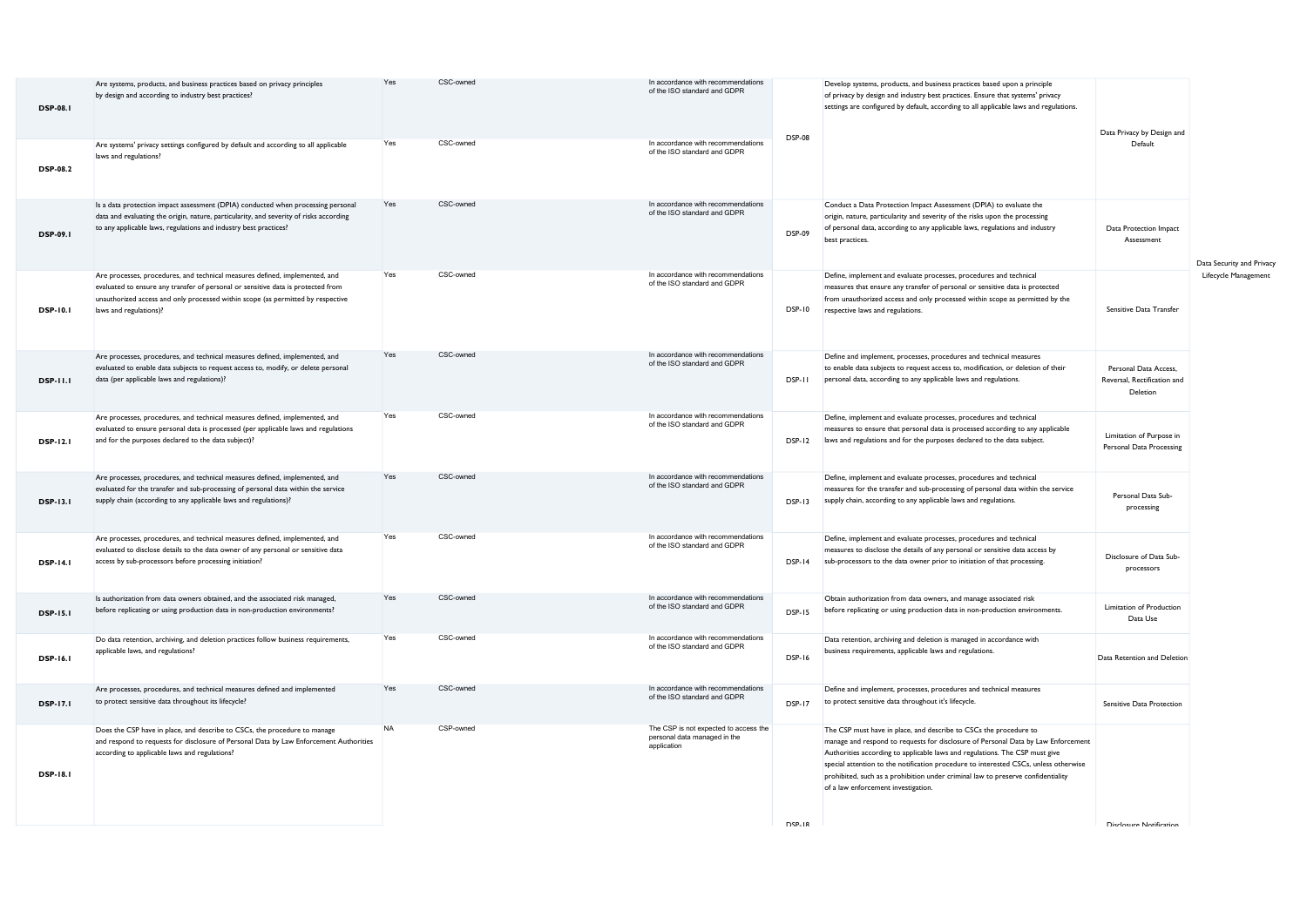| <b>DSP-08.1</b> | Are systems, products, and business practices based on privacy principles<br>by design and according to industry best practices?                                                                                                                                             | Yes       | CSC-owned | In accordance with recommendations<br>of the ISO standard and GDPR                   | <b>DSP-08</b> | Develop systems, products, and business practices based upon a principle<br>of privacy by design and industry best practices. Ensure that systems' privacy<br>settings are configured by default, according to all applicable laws and regulations.                                                                                                                                                                                                      | Data Privacy by Design and                                       |                           |
|-----------------|------------------------------------------------------------------------------------------------------------------------------------------------------------------------------------------------------------------------------------------------------------------------------|-----------|-----------|--------------------------------------------------------------------------------------|---------------|----------------------------------------------------------------------------------------------------------------------------------------------------------------------------------------------------------------------------------------------------------------------------------------------------------------------------------------------------------------------------------------------------------------------------------------------------------|------------------------------------------------------------------|---------------------------|
| <b>DSP-08.2</b> | Are systems' privacy settings configured by default and according to all applicable<br>laws and regulations?                                                                                                                                                                 | Yes       | CSC-owned | In accordance with recommendations<br>of the ISO standard and GDPR                   |               |                                                                                                                                                                                                                                                                                                                                                                                                                                                          | Default                                                          |                           |
| <b>DSP-09.1</b> | Is a data protection impact assessment (DPIA) conducted when processing personal<br>data and evaluating the origin, nature, particularity, and severity of risks according<br>to any applicable laws, regulations and industry best practices?                               | Yes       | CSC-owned | In accordance with recommendations<br>of the ISO standard and GDPR                   | <b>DSP-09</b> | Conduct a Data Protection Impact Assessment (DPIA) to evaluate the<br>origin, nature, particularity and severity of the risks upon the processing<br>of personal data, according to any applicable laws, regulations and industry<br>best practices.                                                                                                                                                                                                     | Data Protection Impact<br>Assessment                             | Data Security and Privacy |
| <b>DSP-10.1</b> | Are processes, procedures, and technical measures defined, implemented, and<br>evaluated to ensure any transfer of personal or sensitive data is protected from<br>unauthorized access and only processed within scope (as permitted by respective<br>laws and regulations)? | Yes       | CSC-owned | In accordance with recommendations<br>of the ISO standard and GDPR                   | <b>DSP-10</b> | Define, implement and evaluate processes, procedures and technical<br>measures that ensure any transfer of personal or sensitive data is protected<br>from unauthorized access and only processed within scope as permitted by the<br>respective laws and regulations.                                                                                                                                                                                   | Sensitive Data Transfer                                          | Lifecycle Management      |
| <b>DSP-11.1</b> | Are processes, procedures, and technical measures defined, implemented, and<br>evaluated to enable data subjects to request access to, modify, or delete personal<br>data (per applicable laws and regulations)?                                                             | Yes       | CSC-owned | In accordance with recommendations<br>of the ISO standard and GDPR                   | DSP-11        | Define and implement, processes, procedures and technical measures<br>to enable data subjects to request access to, modification, or deletion of their<br>personal data, according to any applicable laws and regulations.                                                                                                                                                                                                                               | Personal Data Access,<br>Reversal, Rectification and<br>Deletion |                           |
| <b>DSP-12.1</b> | Are processes, procedures, and technical measures defined, implemented, and<br>evaluated to ensure personal data is processed (per applicable laws and regulations<br>and for the purposes declared to the data subject)?                                                    | Yes       | CSC-owned | In accordance with recommendations<br>of the ISO standard and GDPR                   | DSP-12        | Define, implement and evaluate processes, procedures and technical<br>measures to ensure that personal data is processed according to any applicable<br>laws and regulations and for the purposes declared to the data subject.                                                                                                                                                                                                                          | Limitation of Purpose in<br>Personal Data Processing             |                           |
| <b>DSP-13.1</b> | Are processes, procedures, and technical measures defined, implemented, and<br>evaluated for the transfer and sub-processing of personal data within the service<br>supply chain (according to any applicable laws and regulations)?                                         | Yes       | CSC-owned | In accordance with recommendations<br>of the ISO standard and GDPR                   | DSP-13        | Define, implement and evaluate processes, procedures and technical<br>measures for the transfer and sub-processing of personal data within the service<br>supply chain, according to any applicable laws and regulations.                                                                                                                                                                                                                                | Personal Data Sub-<br>processing                                 |                           |
| <b>DSP-14.1</b> | Are processes, procedures, and technical measures defined, implemented, and<br>evaluated to disclose details to the data owner of any personal or sensitive data<br>access by sub-processors before processing initiation?                                                   | Yes       | CSC-owned | In accordance with recommendations<br>of the ISO standard and GDPR                   | DSP-14        | Define, implement and evaluate processes, procedures and technical<br>measures to disclose the details of any personal or sensitive data access by<br>sub-processors to the data owner prior to initiation of that processing.                                                                                                                                                                                                                           | Disclosure of Data Sub-<br>processors                            |                           |
| <b>DSP-15.1</b> | Is authorization from data owners obtained, and the associated risk managed,<br>before replicating or using production data in non-production environments?                                                                                                                  | Yes       | CSC-owned | In accordance with recommendations<br>of the ISO standard and GDPR                   | <b>DSP-15</b> | Obtain authorization from data owners, and manage associated risk<br>before replicating or using production data in non-production environments.                                                                                                                                                                                                                                                                                                         | Limitation of Production<br>Data Use                             |                           |
| <b>DSP-16.1</b> | Do data retention, archiving, and deletion practices follow business requirements,<br>applicable laws, and regulations?                                                                                                                                                      | Yes       | CSC-owned | In accordance with recommendations<br>of the ISO standard and GDPR                   | <b>DSP-16</b> | Data retention, archiving and deletion is managed in accordance with<br>business requirements, applicable laws and regulations.                                                                                                                                                                                                                                                                                                                          | Data Retention and Deletion                                      |                           |
| <b>DSP-17.1</b> | Are processes, procedures, and technical measures defined and implemented<br>to protect sensitive data throughout its lifecycle?                                                                                                                                             | Yes       | CSC-owned | In accordance with recommendations<br>of the ISO standard and GDPR                   | <b>DSP-17</b> | Define and implement, processes, procedures and technical measures<br>to protect sensitive data throughout it's lifecycle.                                                                                                                                                                                                                                                                                                                               | Sensitive Data Protection                                        |                           |
| <b>DSP-18.1</b> | Does the CSP have in place, and describe to CSCs, the procedure to manage<br>and respond to requests for disclosure of Personal Data by Law Enforcement Authorities<br>according to applicable laws and regulations?                                                         | <b>NA</b> | CSP-owned | The CSP is not expected to access the<br>personal data managed in the<br>application | <b>DSP-18</b> | The CSP must have in place, and describe to CSCs the procedure to<br>manage and respond to requests for disclosure of Personal Data by Law Enforcement<br>Authorities according to applicable laws and regulations. The CSP must give<br>special attention to the notification procedure to interested CSCs, unless otherwise<br>prohibited, such as a prohibition under criminal law to preserve confidentiality<br>of a law enforcement investigation. | Disclosure Notification                                          |                           |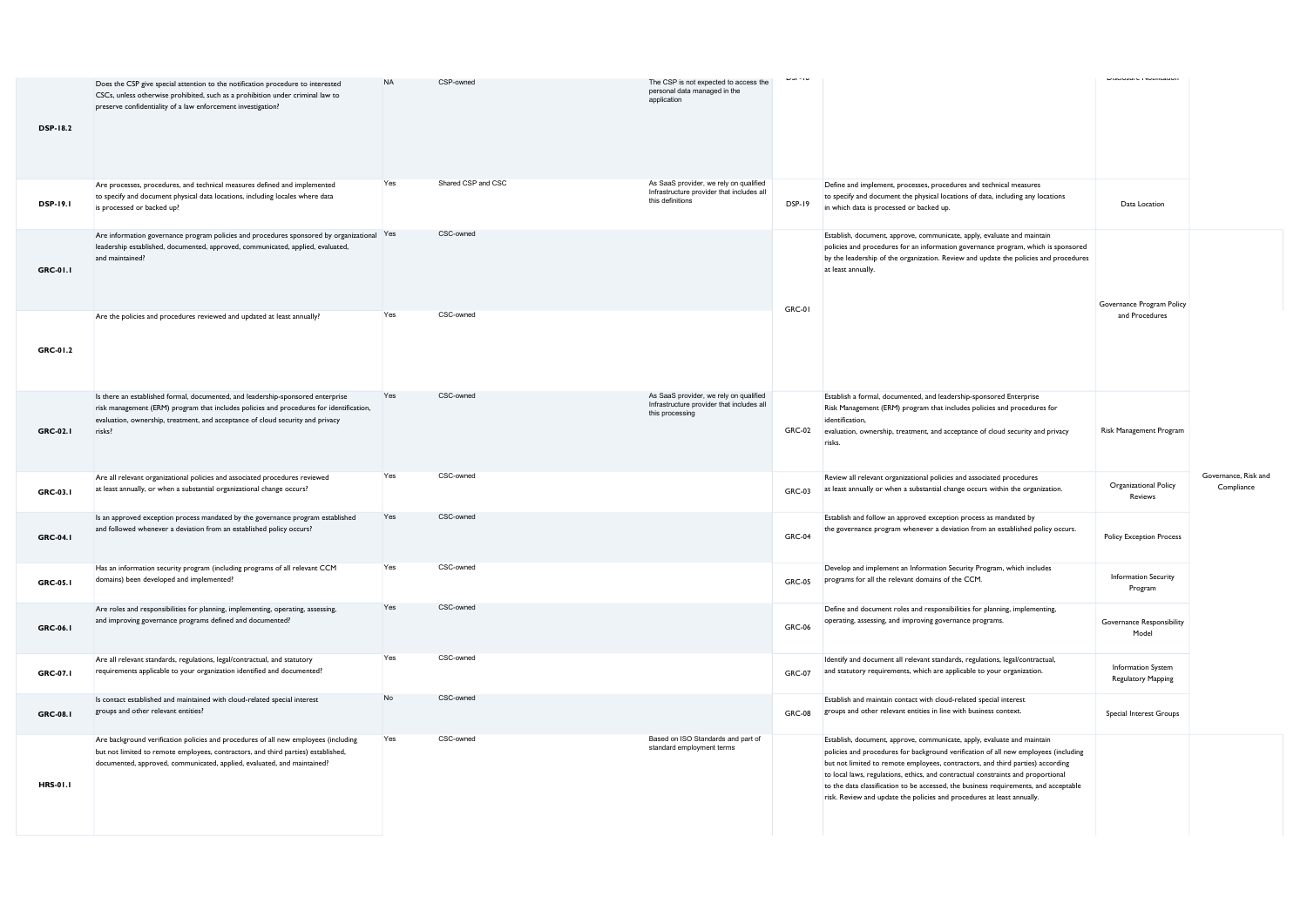| <b>DSP-18.2</b> | Does the CSP give special attention to the notification procedure to interested<br>CSCs, unless otherwise prohibited, such as a prohibition under criminal law to<br>preserve confidentiality of a law enforcement investigation?                                      | <b>NA</b> | CSP-owned          | The CSP is not expected to access the<br>personal data managed in the<br>application                    | $-1 - 1 - 1$  |                                                                                                                                                                                                                                                                                                                                                                                                                                                                                                        | LIBROUGH C INVESTIGATION                 |                                    |
|-----------------|------------------------------------------------------------------------------------------------------------------------------------------------------------------------------------------------------------------------------------------------------------------------|-----------|--------------------|---------------------------------------------------------------------------------------------------------|---------------|--------------------------------------------------------------------------------------------------------------------------------------------------------------------------------------------------------------------------------------------------------------------------------------------------------------------------------------------------------------------------------------------------------------------------------------------------------------------------------------------------------|------------------------------------------|------------------------------------|
| <b>DSP-19.1</b> | Are processes, procedures, and technical measures defined and implemented<br>to specify and document physical data locations, including locales where data<br>is processed or backed up?                                                                               | Yes       | Shared CSP and CSC | As SaaS provider, we rely on qualified<br>Infrastructure provider that includes all<br>this definitions | DSP-19        | Define and implement, processes, procedures and technical measures<br>to specify and document the physical locations of data, including any locations<br>in which data is processed or backed up.                                                                                                                                                                                                                                                                                                      | Data Location                            |                                    |
| <b>GRC-01.1</b> | Are information governance program policies and procedures sponsored by organizational Yes<br>leadership established, documented, approved, communicated, applied, evaluated,<br>and maintained?                                                                       |           | CSC-owned          |                                                                                                         | GRC-01        | Establish, document, approve, communicate, apply, evaluate and maintain<br>policies and procedures for an information governance program, which is sponsored<br>by the leadership of the organization. Review and update the policies and procedures<br>at least annually.                                                                                                                                                                                                                             | Governance Program Policy                |                                    |
| GRC-01.2        | Are the policies and procedures reviewed and updated at least annually?                                                                                                                                                                                                | Yes       | CSC-owned          |                                                                                                         |               |                                                                                                                                                                                                                                                                                                                                                                                                                                                                                                        | and Procedures                           |                                    |
| <b>GRC-02.1</b> | Is there an established formal, documented, and leadership-sponsored enterprise<br>risk management (ERM) program that includes policies and procedures for identification,<br>evaluation, ownership, treatment, and acceptance of cloud security and privacy<br>risks? | Yes       | CSC-owned          | As SaaS provider, we rely on qualified<br>Infrastructure provider that includes all<br>this processing  | <b>GRC-02</b> | Establish a formal, documented, and leadership-sponsored Enterprise<br>Risk Management (ERM) program that includes policies and procedures for<br>identification,<br>evaluation, ownership, treatment, and acceptance of cloud security and privacy<br>risks.                                                                                                                                                                                                                                          | Risk Management Program                  |                                    |
| <b>GRC-03.1</b> | Are all relevant organizational policies and associated procedures reviewed<br>at least annually, or when a substantial organizational change occurs?                                                                                                                  | Yes       | CSC-owned          |                                                                                                         | GRC-03        | Review all relevant organizational policies and associated procedures<br>at least annually or when a substantial change occurs within the organization.                                                                                                                                                                                                                                                                                                                                                | <b>Organizational Policy</b><br>Reviews  | Governance, Risk and<br>Compliance |
| <b>GRC-04.1</b> | Is an approved exception process mandated by the governance program established<br>and followed whenever a deviation from an established policy occurs?                                                                                                                | Yes       | CSC-owned          |                                                                                                         | GRC-04        | Establish and follow an approved exception process as mandated by<br>the governance program whenever a deviation from an established policy occurs.                                                                                                                                                                                                                                                                                                                                                    | <b>Policy Exception Process</b>          |                                    |
| <b>GRC-05.1</b> | Has an information security program (including programs of all relevant CCM<br>domains) been developed and implemented?                                                                                                                                                | Yes       | CSC-owned          |                                                                                                         | <b>GRC-05</b> | Develop and implement an Information Security Program, which includes<br>programs for all the relevant domains of the CCM.                                                                                                                                                                                                                                                                                                                                                                             | Information Security<br>Program          |                                    |
| <b>GRC-06.1</b> | Are roles and responsibilities for planning, implementing, operating, assessing,<br>and improving governance programs defined and documented?                                                                                                                          | Yes       | CSC-owned          |                                                                                                         | <b>GRC-06</b> | Define and document roles and responsibilities for planning, implementing,<br>operating, assessing, and improving governance programs.                                                                                                                                                                                                                                                                                                                                                                 | Governance Responsibility<br>Model       |                                    |
| <b>GRC-07.1</b> | Are all relevant standards, regulations, legal/contractual, and statutory<br>requirements applicable to your organization identified and documented?                                                                                                                   | Yes       | CSC-owned          |                                                                                                         | <b>GRC-07</b> | Identify and document all relevant standards, regulations, legal/contractual,<br>and statutory requirements, which are applicable to your organization.                                                                                                                                                                                                                                                                                                                                                | Information System<br>Regulatory Mapping |                                    |
| <b>GRC-08.1</b> | Is contact established and maintained with cloud-related special interest<br>groups and other relevant entities?                                                                                                                                                       | No        | CSC-owned          |                                                                                                         | GRC-08        | Establish and maintain contact with cloud-related special interest<br>groups and other relevant entities in line with business context.                                                                                                                                                                                                                                                                                                                                                                | Special Interest Groups                  |                                    |
| <b>HRS-01.1</b> | Are background verification policies and procedures of all new employees (including<br>but not limited to remote employees, contractors, and third parties) established,<br>documented, approved, communicated, applied, evaluated, and maintained?                    | Yes       | CSC-owned          | Based on ISO Standards and part of<br>standard employment terms                                         |               | Establish, document, approve, communicate, apply, evaluate and maintain<br>policies and procedures for background verification of all new employees (including<br>but not limited to remote employees, contractors, and third parties) according<br>to local laws, regulations, ethics, and contractual constraints and proportional<br>to the data classification to be accessed, the business requirements, and acceptable<br>risk. Review and update the policies and procedures at least annually. |                                          |                                    |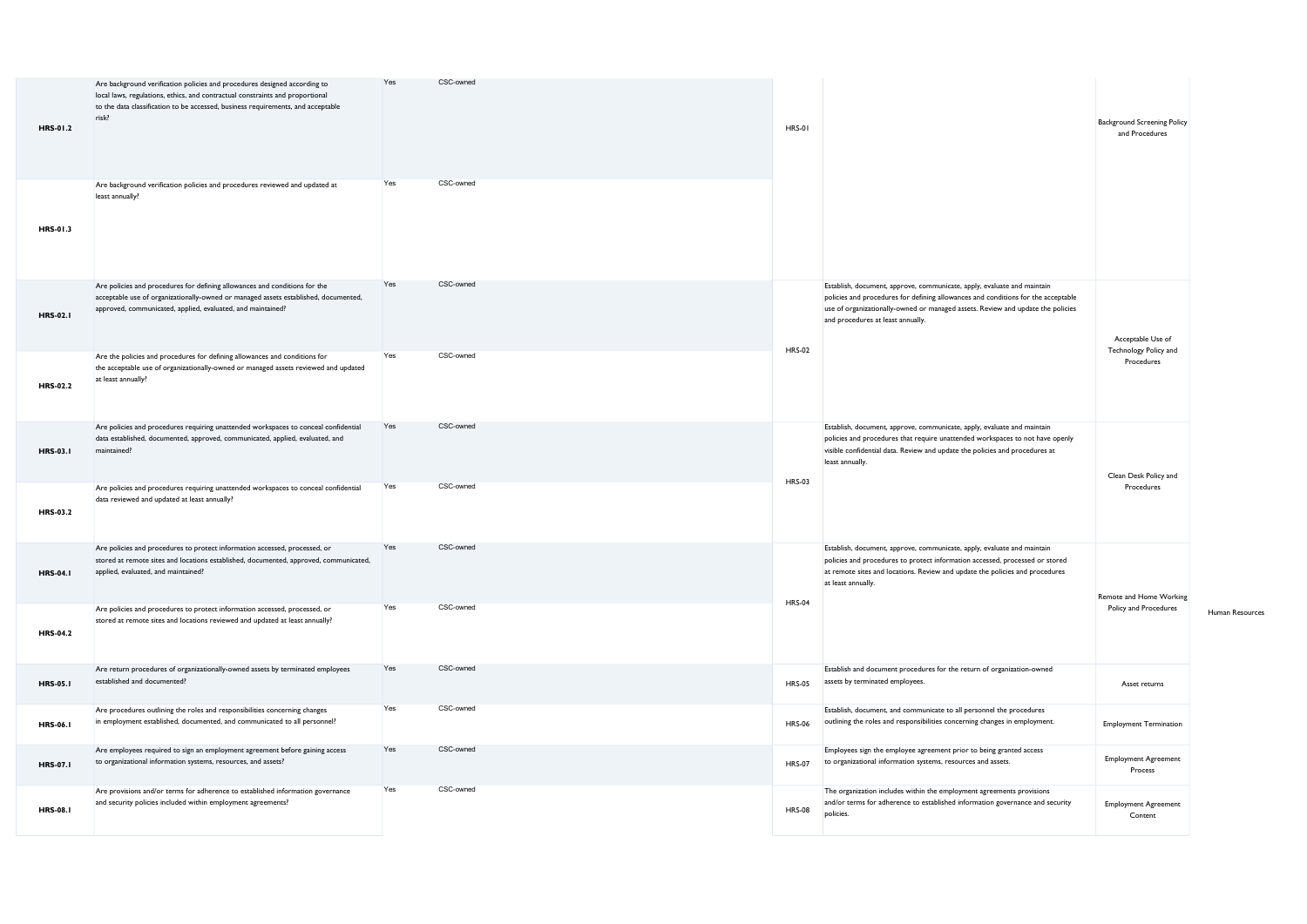| <b>HRS-01.2</b> | Are background verification policies and procedures designed according to<br>local laws, regulations, ethics, and contractual constraints and proportional<br>to the data classification to be accessed, business requirements, and acceptable<br>risk? | Yes | CSC-owned | HRS-01        |                                                                                                                                                                                                                                                                                      | <b>Background Screening Policy</b><br>and Procedures |                 |
|-----------------|---------------------------------------------------------------------------------------------------------------------------------------------------------------------------------------------------------------------------------------------------------|-----|-----------|---------------|--------------------------------------------------------------------------------------------------------------------------------------------------------------------------------------------------------------------------------------------------------------------------------------|------------------------------------------------------|-----------------|
| <b>HRS-01.3</b> | Are background verification policies and procedures reviewed and updated at<br>least annually?                                                                                                                                                          | Yes | CSC-owned |               |                                                                                                                                                                                                                                                                                      |                                                      |                 |
| <b>HRS-02.1</b> | Are policies and procedures for defining allowances and conditions for the<br>acceptable use of organizationally-owned or managed assets established, documented,<br>approved, communicated, applied, evaluated, and maintained?                        | Yes | CSC-owned | <b>HRS-02</b> | Establish, document, approve, communicate, apply, evaluate and maintain<br>policies and procedures for defining allowances and conditions for the acceptable<br>use of organizationally-owned or managed assets. Review and update the policies<br>and procedures at least annually. | Acceptable Use of<br>Technology Policy and           |                 |
| <b>HRS-02.2</b> | Are the policies and procedures for defining allowances and conditions for<br>the acceptable use of organizationally-owned or managed assets reviewed and updated<br>at least annually?                                                                 | Yes | CSC-owned |               |                                                                                                                                                                                                                                                                                      | Procedures                                           |                 |
| <b>HRS-03.1</b> | Are policies and procedures requiring unattended workspaces to conceal confidential<br>data established, documented, approved, communicated, applied, evaluated, and<br>maintained?                                                                     | Yes | CSC-owned | <b>HRS-03</b> | Establish, document, approve, communicate, apply, evaluate and maintain<br>policies and procedures that require unattended workspaces to not have openly<br>visible confidential data. Review and update the policies and procedures at<br>least annually.                           | Clean Desk Policy and                                |                 |
| HRS-03.2        | Are policies and procedures requiring unattended workspaces to conceal confidential<br>data reviewed and updated at least annually?                                                                                                                     | Yes | CSC-owned |               |                                                                                                                                                                                                                                                                                      | Procedures                                           |                 |
| <b>HRS-04.1</b> | Are policies and procedures to protect information accessed, processed, or<br>stored at remote sites and locations established, documented, approved, communicated,<br>applied, evaluated, and maintained?                                              | Yes | CSC-owned | <b>HRS-04</b> | Establish, document, approve, communicate, apply, evaluate and maintain<br>policies and procedures to protect information accessed, processed or stored<br>at remote sites and locations. Review and update the policies and procedures<br>at least annually.                        | Remote and Home Working                              |                 |
| <b>HRS-04.2</b> | Are policies and procedures to protect information accessed, processed, or<br>stored at remote sites and locations reviewed and updated at least annually?                                                                                              | Yes | CSC-owned |               |                                                                                                                                                                                                                                                                                      | Policy and Procedures                                | Human Resources |
| <b>HRS-05.1</b> | Are return procedures of organizationally-owned assets by terminated employees<br>established and documented?                                                                                                                                           | Yes | CSC-owned | <b>HRS-05</b> | Establish and document procedures for the return of organization-owned<br>assets by terminated employees.                                                                                                                                                                            | Asset returns                                        |                 |
| <b>HRS-06.1</b> | Are procedures outlining the roles and responsibilities concerning changes<br>in employment established, documented, and communicated to all personnel?                                                                                                 | Yes | CSC-owned | <b>HRS-06</b> | Establish, document, and communicate to all personnel the procedures<br>outlining the roles and responsibilities concerning changes in employment.                                                                                                                                   | <b>Employment Termination</b>                        |                 |
| <b>HRS-07.1</b> | Are employees required to sign an employment agreement before gaining access<br>to organizational information systems, resources, and assets?                                                                                                           | Yes | CSC-owned | <b>HRS-07</b> | Employees sign the employee agreement prior to being granted access<br>to organizational information systems, resources and assets.                                                                                                                                                  | <b>Employment Agreement</b><br>Process               |                 |
| <b>HRS-08.1</b> | Are provisions and/or terms for adherence to established information governance<br>and security policies included within employment agreements?                                                                                                         | Yes | CSC-owned | <b>HRS-08</b> | The organization includes within the employment agreements provisions<br>and/or terms for adherence to established information governance and security<br>policies.                                                                                                                  | <b>Employment Agreement</b><br>Content               |                 |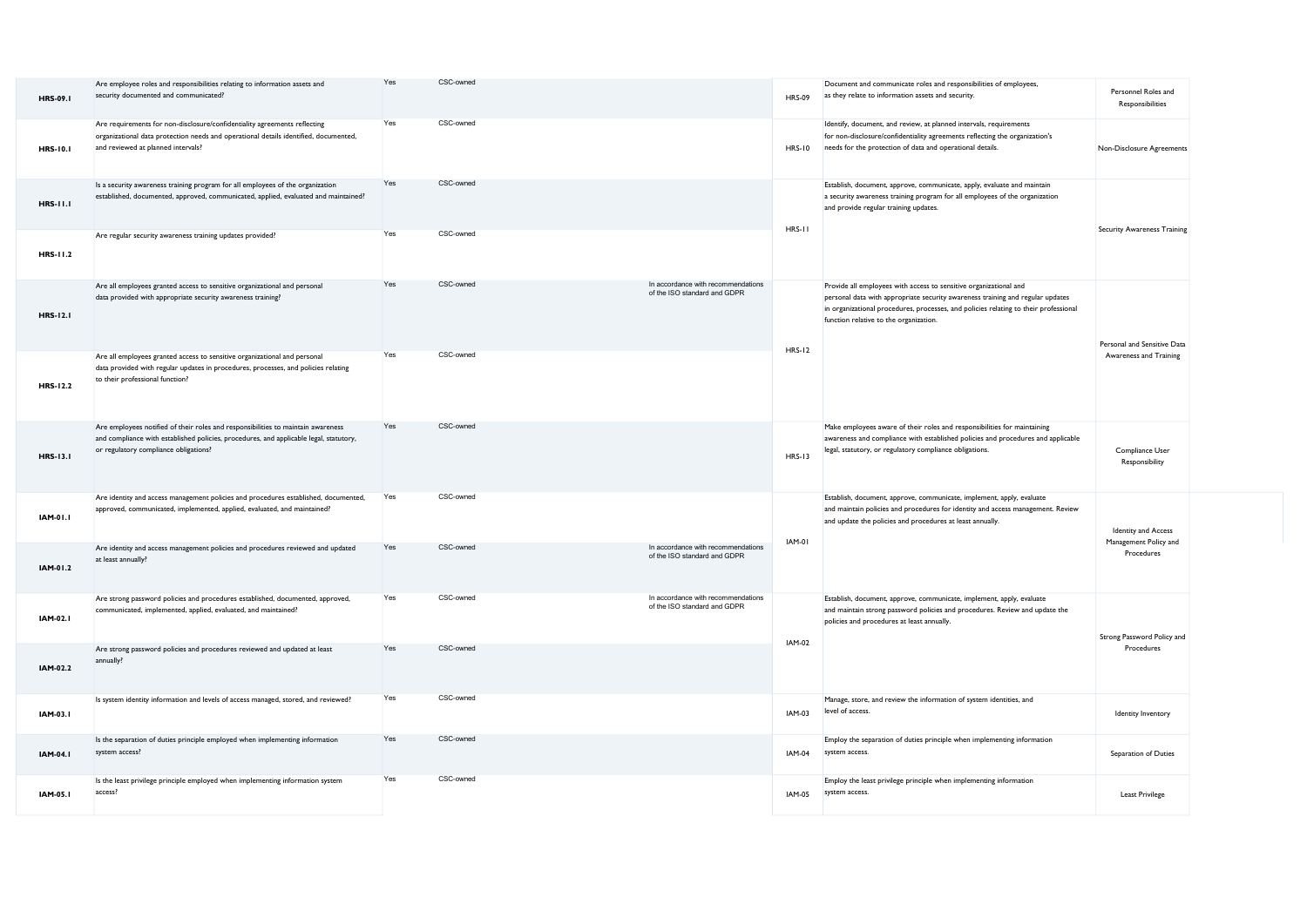| <b>HRS-09.1</b> | Are employee roles and responsibilities relating to information assets and<br>security documented and communicated?                                                                                                 | Yes | CSC-owned |                                                                    | <b>HRS-09</b> | Document and communicate roles and responsibilities of employees,<br>as they relate to information assets and security.                                                                                                                                                               | Personnel Roles and<br>Responsibilities |
|-----------------|---------------------------------------------------------------------------------------------------------------------------------------------------------------------------------------------------------------------|-----|-----------|--------------------------------------------------------------------|---------------|---------------------------------------------------------------------------------------------------------------------------------------------------------------------------------------------------------------------------------------------------------------------------------------|-----------------------------------------|
| <b>HRS-10.1</b> | Are requirements for non-disclosure/confidentiality agreements reflecting<br>organizational data protection needs and operational details identified, documented,<br>and reviewed at planned intervals?             | Yes | CSC-owned |                                                                    | <b>HRS-10</b> | Identify, document, and review, at planned intervals, requirements<br>for non-disclosure/confidentiality agreements reflecting the organization's<br>needs for the protection of data and operational details.                                                                        | Non-Disclosure Agreements               |
| <b>HRS-11.1</b> | Is a security awareness training program for all employees of the organization<br>established, documented, approved, communicated, applied, evaluated and maintained?                                               | Yes | CSC-owned |                                                                    |               | Establish, document, approve, communicate, apply, evaluate and maintain<br>a security awareness training program for all employees of the organization<br>and provide regular training updates.                                                                                       |                                         |
| <b>HRS-11.2</b> | Are regular security awareness training updates provided?                                                                                                                                                           | Yes | CSC-owned |                                                                    | $HRS-II$      |                                                                                                                                                                                                                                                                                       | Security Awareness Training             |
| <b>HRS-12.1</b> | Are all employees granted access to sensitive organizational and personal<br>data provided with appropriate security awareness training?                                                                            | Yes | CSC-owned | In accordance with recommendations<br>of the ISO standard and GDPR |               | Provide all employees with access to sensitive organizational and<br>personal data with appropriate security awareness training and regular updates<br>in organizational procedures, processes, and policies relating to their professional<br>function relative to the organization. | Personal and Sensitive Data             |
| <b>HRS-12.2</b> | Are all employees granted access to sensitive organizational and personal<br>data provided with regular updates in procedures, processes, and policies relating<br>to their professional function?                  | Yes | CSC-owned |                                                                    | <b>HRS-12</b> |                                                                                                                                                                                                                                                                                       | Awareness and Training                  |
| <b>HRS-13.1</b> | Are employees notified of their roles and responsibilities to maintain awareness<br>and compliance with established policies, procedures, and applicable legal, statutory,<br>or regulatory compliance obligations? | Yes | CSC-owned |                                                                    | <b>HRS-13</b> | Make employees aware of their roles and responsibilities for maintaining<br>awareness and compliance with established policies and procedures and applicable<br>legal, statutory, or regulatory compliance obligations.                                                               | Compliance User<br>Responsibility       |
| <b>IAM-01.1</b> | Are identity and access management policies and procedures established, documented,<br>approved, communicated, implemented, applied, evaluated, and maintained?                                                     | Yes | CSC-owned |                                                                    |               | Establish, document, approve, communicate, implement, apply, evaluate<br>and maintain policies and procedures for identity and access management. Review<br>and update the policies and procedures at least annually.                                                                 | <b>Identity and Access</b>              |
| IAM-01.2        | Are identity and access management policies and procedures reviewed and updated<br>at least annually?                                                                                                               | Yes | CSC-owned | In accordance with recommendations<br>of the ISO standard and GDPR | IAM-01        |                                                                                                                                                                                                                                                                                       | Management Policy and<br>Procedures     |
| IAM-02.1        | Are strong password policies and procedures established, documented, approved,<br>communicated, implemented, applied, evaluated, and maintained?                                                                    | Yes | CSC-owned | In accordance with recommendations<br>of the ISO standard and GDPR |               | Establish, document, approve, communicate, implement, apply, evaluate<br>and maintain strong password policies and procedures. Review and update the<br>policies and procedures at least annually.                                                                                    | Strong Password Policy and              |
| IAM-02.2        | Are strong password policies and procedures reviewed and updated at least<br>annually?                                                                                                                              | Yes | CSC-owned |                                                                    | <b>IAM-02</b> |                                                                                                                                                                                                                                                                                       | Procedures                              |
| <b>IAM-03.1</b> | Is system identity information and levels of access managed, stored, and reviewed?                                                                                                                                  | Yes | CSC-owned |                                                                    | <b>IAM-03</b> | Manage, store, and review the information of system identities, and<br>level of access.                                                                                                                                                                                               | Identity Inventory                      |
| <b>IAM-04.1</b> | Is the separation of duties principle employed when implementing information<br>system access?                                                                                                                      | Yes | CSC-owned |                                                                    | IAM-04        | Employ the separation of duties principle when implementing information<br>system access.                                                                                                                                                                                             | Separation of Duties                    |
| <b>IAM-05.1</b> | Is the least privilege principle employed when implementing information system<br>access?                                                                                                                           | Yes | CSC-owned |                                                                    | <b>IAM-05</b> | Employ the least privilege principle when implementing information<br>system access.                                                                                                                                                                                                  | Least Privilege                         |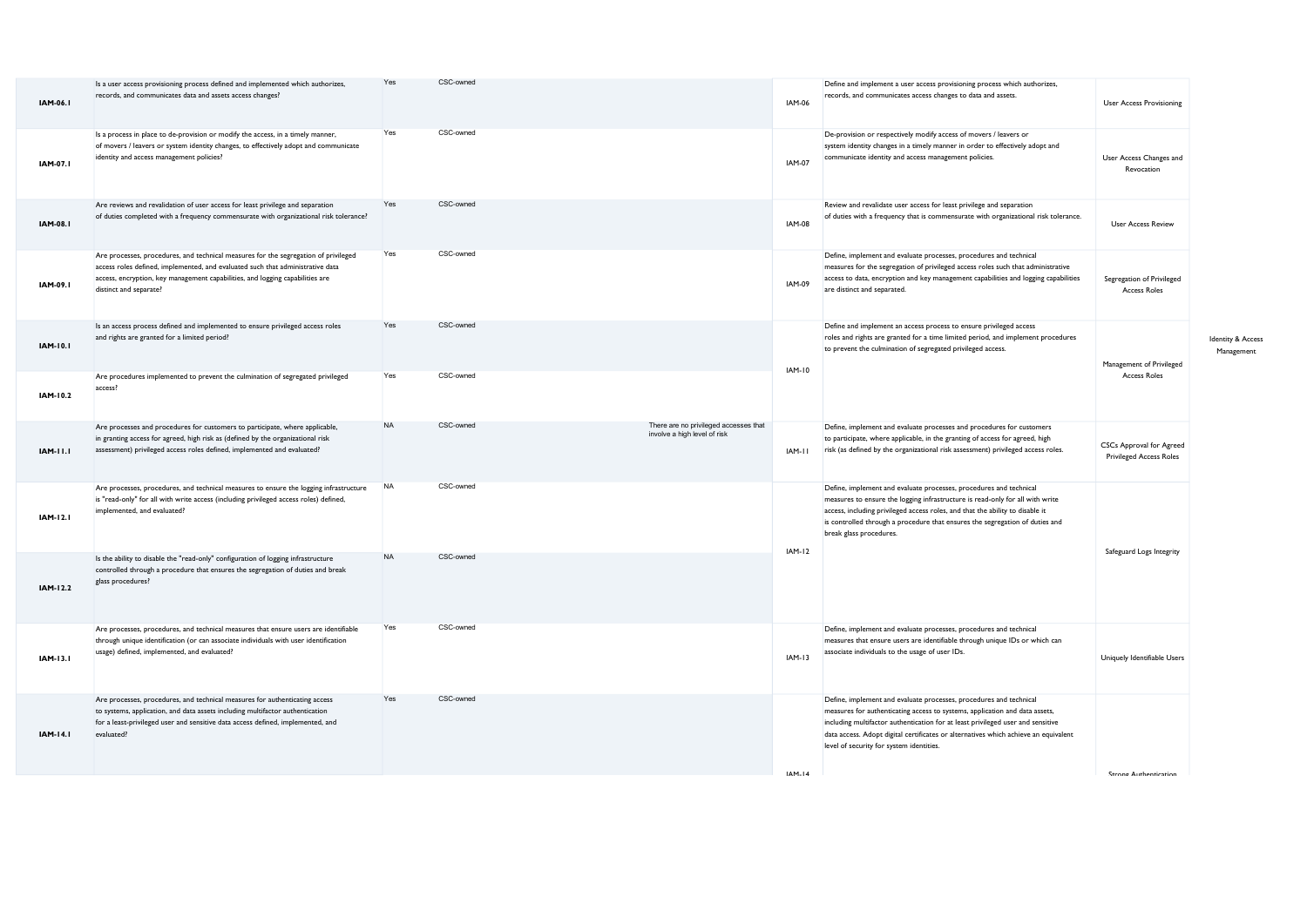| <b>IAM-06.1</b> | Is a user access provisioning process defined and implemented which authorizes,<br>records, and communicates data and assets access changes?                                                                                                                                     | CSC-owned<br>Yes       |                                                                       | <b>IAM-06</b>                        | Define and implement a user access provisioning process which authorizes,<br>records, and communicates access changes to data and assets.                                                                                                                                                                                                                               | <b>User Access Provisioning</b>                                   |
|-----------------|----------------------------------------------------------------------------------------------------------------------------------------------------------------------------------------------------------------------------------------------------------------------------------|------------------------|-----------------------------------------------------------------------|--------------------------------------|-------------------------------------------------------------------------------------------------------------------------------------------------------------------------------------------------------------------------------------------------------------------------------------------------------------------------------------------------------------------------|-------------------------------------------------------------------|
| <b>IAM-07.1</b> | Is a process in place to de-provision or modify the access, in a timely manner,<br>of movers / leavers or system identity changes, to effectively adopt and communicate<br>identity and access management policies?                                                              | CSC-owned<br>Yes       |                                                                       | <b>IAM-07</b>                        | De-provision or respectively modify access of movers / leavers or<br>system identity changes in a timely manner in order to effectively adopt and<br>communicate identity and access management policies.                                                                                                                                                               | User Access Changes and<br>Revocation                             |
| <b>IAM-08.1</b> | Are reviews and revalidation of user access for least privilege and separation<br>of duties completed with a frequency commensurate with organizational risk tolerance?                                                                                                          | CSC-owned<br>Yes       |                                                                       | <b>IAM-08</b>                        | Review and revalidate user access for least privilege and separation<br>of duties with a frequency that is commensurate with organizational risk tolerance.                                                                                                                                                                                                             | <b>User Access Review</b>                                         |
| <b>IAM-09.1</b> | Are processes, procedures, and technical measures for the segregation of privileged<br>access roles defined, implemented, and evaluated such that administrative data<br>access, encryption, key management capabilities, and logging capabilities are<br>distinct and separate? | Yes<br>CSC-owned       |                                                                       | <b>IAM-09</b>                        | Define, implement and evaluate processes, procedures and technical<br>measures for the segregation of privileged access roles such that administrative<br>access to data, encryption and key management capabilities and logging capabilities<br>are distinct and separated.                                                                                            | Segregation of Privileged<br><b>Access Roles</b>                  |
| <b>IAM-10.1</b> | Is an access process defined and implemented to ensure privileged access roles<br>and rights are granted for a limited period?                                                                                                                                                   | CSC-owned<br>Yes       |                                                                       | <b>IAM-10</b>                        | Define and implement an access process to ensure privileged access<br>roles and rights are granted for a time limited period, and implement procedures<br>to prevent the culmination of segregated privileged access.                                                                                                                                                   | Management of Privileged                                          |
| <b>IAM-10.2</b> | Are procedures implemented to prevent the culmination of segregated privileged<br>access?                                                                                                                                                                                        | CSC-owned<br>Yes       |                                                                       |                                      |                                                                                                                                                                                                                                                                                                                                                                         | <b>Access Roles</b>                                               |
| <b>IAM-11.1</b> | Are processes and procedures for customers to participate, where applicable,<br>in granting access for agreed, high risk as (defined by the organizational risk<br>assessment) privileged access roles defined, implemented and evaluated?                                       | <b>NA</b><br>CSC-owned | There are no privileged accesses that<br>involve a high level of risk | IAM-II                               | Define, implement and evaluate processes and procedures for customers<br>to participate, where applicable, in the granting of access for agreed, high<br>risk (as defined by the organizational risk assessment) privileged access roles.                                                                                                                               | <b>CSCs Approval for Agreed</b><br><b>Privileged Access Roles</b> |
| <b>IAM-12.1</b> | Are processes, procedures, and technical measures to ensure the logging infrastructure<br>is "read-only" for all with write access (including privileged access roles) defined,<br>implemented, and evaluated?                                                                   | CSC-owned<br><b>NA</b> |                                                                       |                                      | Define, implement and evaluate processes, procedures and technical<br>measures to ensure the logging infrastructure is read-only for all with write<br>access, including privileged access roles, and that the ability to disable it<br>is controlled through a procedure that ensures the segregation of duties and<br>break glass procedures.                         |                                                                   |
| IAM-12.2        | Is the ability to disable the "read-only" configuration of logging infrastructure<br>controlled through a procedure that ensures the segregation of duties and break<br>glass procedures?                                                                                        | CSC-owned<br><b>NA</b> |                                                                       | <b>IAM-12</b>                        |                                                                                                                                                                                                                                                                                                                                                                         | Safeguard Logs Integrity                                          |
| <b>IAM-13.1</b> | Are processes, procedures, and technical measures that ensure users are identifiable<br>through unique identification (or can associate individuals with user identification<br>usage) defined, implemented, and evaluated?                                                      | CSC-owned<br>Yes       |                                                                       | <b>IAM-13</b>                        | Define, implement and evaluate processes, procedures and technical<br>measures that ensure users are identifiable through unique IDs or which can<br>associate individuals to the usage of user IDs.                                                                                                                                                                    | Uniquely Identifiable Users                                       |
| <b>IAM-14.1</b> | Are processes, procedures, and technical measures for authenticating access<br>to systems, application, and data assets including multifactor authentication<br>for a least-privileged user and sensitive data access defined, implemented, and<br>evaluated?                    | CSC-owned<br>Yes       |                                                                       | $I \Delta M$ <sub>-</sub> $I \Delta$ | Define, implement and evaluate processes, procedures and technical<br>measures for authenticating access to systems, application and data assets,<br>including multifactor authentication for at least privileged user and sensitive<br>data access. Adopt digital certificates or alternatives which achieve an equivalent<br>level of security for system identities. | <b>Strong Authontication</b>                                      |

Identity & Access Management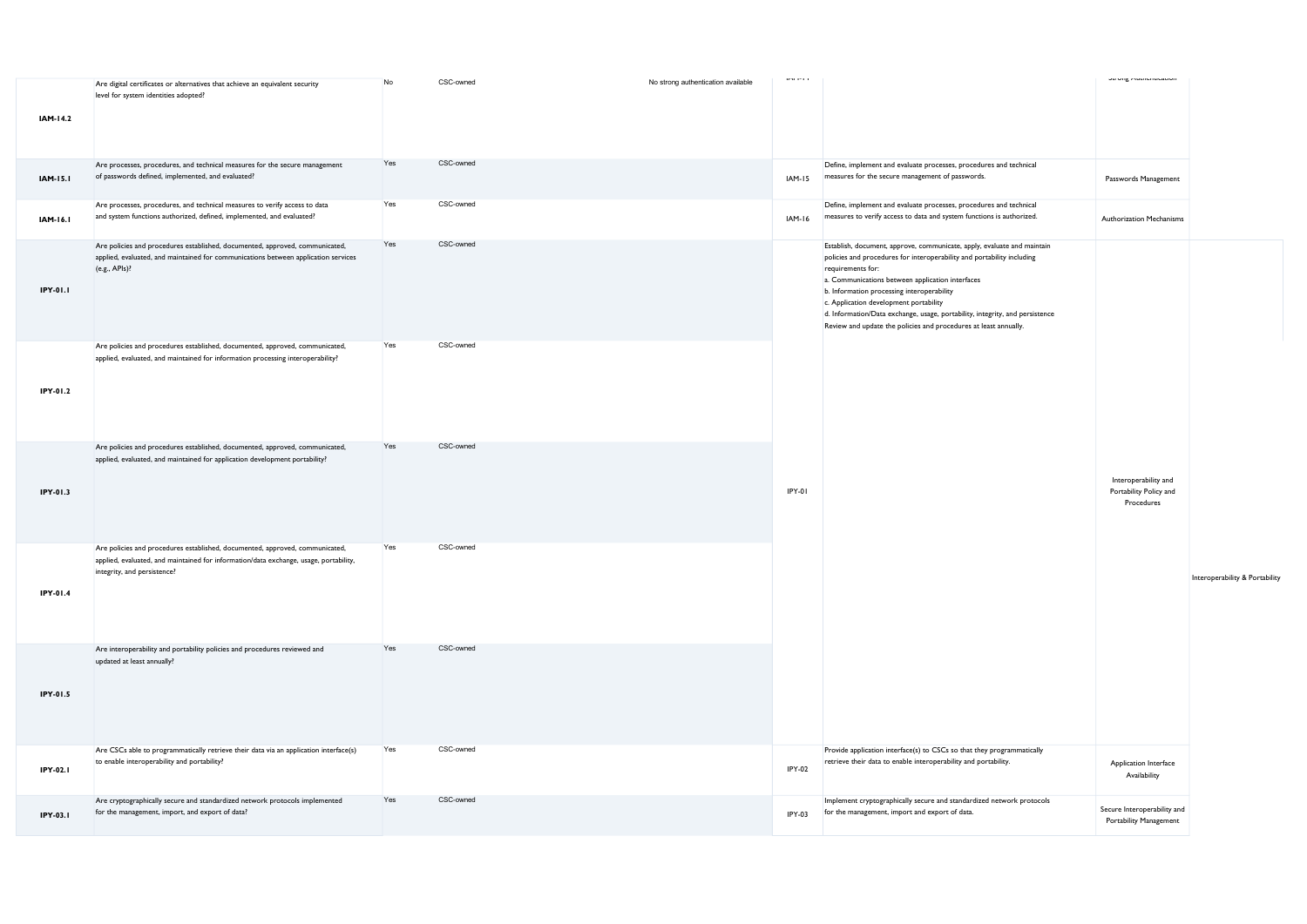| <b>IAM-14.2</b> | Are digital certificates or alternatives that achieve an equivalent security<br>level for system identities adopted?                                                                                 | No  | CSC-owned | No strong authentication available | <b>DOM: YELLOW</b> |                                                                                                                                                                                                                                                                                                                                                                                                                                                                        | Julyng muunchucauvii                                         |
|-----------------|------------------------------------------------------------------------------------------------------------------------------------------------------------------------------------------------------|-----|-----------|------------------------------------|--------------------|------------------------------------------------------------------------------------------------------------------------------------------------------------------------------------------------------------------------------------------------------------------------------------------------------------------------------------------------------------------------------------------------------------------------------------------------------------------------|--------------------------------------------------------------|
| <b>IAM-15.1</b> | Are processes, procedures, and technical measures for the secure management<br>of passwords defined, implemented, and evaluated?                                                                     | Yes | CSC-owned |                                    | <b>IAM-15</b>      | Define, implement and evaluate processes, procedures and technical<br>measures for the secure management of passwords.                                                                                                                                                                                                                                                                                                                                                 | Passwords Managemen                                          |
| <b>IAM-16.1</b> | Are processes, procedures, and technical measures to verify access to data<br>and system functions authorized, defined, implemented, and evaluated?                                                  | Yes | CSC-owned |                                    | <b>IAM-16</b>      | Define, implement and evaluate processes, procedures and technical<br>measures to verify access to data and system functions is authorized.                                                                                                                                                                                                                                                                                                                            | <b>Authorization Mechanisi</b>                               |
| <b>IPY-01.1</b> | Are policies and procedures established, documented, approved, communicated,<br>applied, evaluated, and maintained for communications between application services<br>(e.g., APIs)?                  | Yes | CSC-owned |                                    |                    | Establish, document, approve, communicate, apply, evaluate and maintain<br>policies and procedures for interoperability and portability including<br>requirements for:<br>a. Communications between application interfaces<br>b. Information processing interoperability<br>c. Application development portability<br>d. Information/Data exchange, usage, portability, integrity, and persistence<br>Review and update the policies and procedures at least annually. |                                                              |
| <b>IPY-01.2</b> | Are policies and procedures established, documented, approved, communicated,<br>applied, evaluated, and maintained for information processing interoperability?                                      | Yes | CSC-owned |                                    |                    |                                                                                                                                                                                                                                                                                                                                                                                                                                                                        |                                                              |
| <b>IPY-01.3</b> | Are policies and procedures established, documented, approved, communicated,<br>applied, evaluated, and maintained for application development portability?                                          | Yes | CSC-owned |                                    | IPY-01             |                                                                                                                                                                                                                                                                                                                                                                                                                                                                        | Interoperability and<br>Portability Policy and<br>Procedures |
| <b>IPY-01.4</b> | Are policies and procedures established, documented, approved, communicated,<br>applied, evaluated, and maintained for information/data exchange, usage, portability,<br>integrity, and persistence? | Yes | CSC-owned |                                    |                    |                                                                                                                                                                                                                                                                                                                                                                                                                                                                        |                                                              |
| IPY-01.5        | Are interoperability and portability policies and procedures reviewed and<br>updated at least annually?                                                                                              | Yes | CSC-owned |                                    |                    |                                                                                                                                                                                                                                                                                                                                                                                                                                                                        |                                                              |
| <b>IPY-02.1</b> | Are CSCs able to programmatically retrieve their data via an application interface(s)<br>to enable interoperability and portability?                                                                 | Yes | CSC-owned |                                    | <b>IPY-02</b>      | Provide application interface(s) to CSCs so that they programmatically<br>retrieve their data to enable interoperability and portability.                                                                                                                                                                                                                                                                                                                              | Application Interface<br>Availability                        |
| <b>IPY-03.1</b> | Are cryptographically secure and standardized network protocols implemented<br>for the management, import, and export of data?                                                                       | Yes | CSC-owned |                                    | IPY-03             | Implement cryptographically secure and standardized network protocols<br>for the management, import and export of data.                                                                                                                                                                                                                                                                                                                                                | Secure Interoperability a<br>Portability Managemen           |

|                                                                              | Julyng Authorities                                           |                                |
|------------------------------------------------------------------------------|--------------------------------------------------------------|--------------------------------|
|                                                                              |                                                              |                                |
|                                                                              |                                                              |                                |
|                                                                              |                                                              |                                |
|                                                                              |                                                              |                                |
|                                                                              |                                                              |                                |
| Define, implement and evaluate processes, procedures and technical           |                                                              |                                |
| measures for the secure management of passwords.                             | Passwords Management                                         |                                |
|                                                                              |                                                              |                                |
| Define, implement and evaluate processes, procedures and technical           |                                                              |                                |
| measures to verify access to data and system functions is authorized.        | <b>Authorization Mechanisms</b>                              |                                |
|                                                                              |                                                              |                                |
| Establish, document, approve, communicate, apply, evaluate and maintain      |                                                              |                                |
| policies and procedures for interoperability and portability including       |                                                              |                                |
| requirements for:<br>a. Communications between application interfaces        |                                                              |                                |
| b. Information processing interoperability                                   |                                                              |                                |
| c. Application development portability                                       |                                                              |                                |
| d. Information/Data exchange, usage, portability, integrity, and persistence |                                                              |                                |
| Review and update the policies and procedures at least annually.             |                                                              |                                |
|                                                                              |                                                              |                                |
|                                                                              |                                                              |                                |
|                                                                              |                                                              |                                |
|                                                                              |                                                              |                                |
|                                                                              |                                                              |                                |
|                                                                              |                                                              |                                |
|                                                                              |                                                              |                                |
|                                                                              |                                                              |                                |
|                                                                              |                                                              |                                |
|                                                                              |                                                              |                                |
|                                                                              |                                                              |                                |
|                                                                              | Interoperability and                                         |                                |
|                                                                              | Portability Policy and                                       |                                |
|                                                                              | Procedures                                                   |                                |
|                                                                              |                                                              |                                |
|                                                                              |                                                              |                                |
|                                                                              |                                                              |                                |
|                                                                              |                                                              |                                |
|                                                                              |                                                              | Interoperability & Portability |
|                                                                              |                                                              |                                |
|                                                                              |                                                              |                                |
|                                                                              |                                                              |                                |
|                                                                              |                                                              |                                |
|                                                                              |                                                              |                                |
|                                                                              |                                                              |                                |
|                                                                              |                                                              |                                |
|                                                                              |                                                              |                                |
|                                                                              |                                                              |                                |
|                                                                              |                                                              |                                |
|                                                                              |                                                              |                                |
|                                                                              |                                                              |                                |
| Provide application interface(s) to CSCs so that they programmatically       |                                                              |                                |
| retrieve their data to enable interoperability and portability.              | Application Interface                                        |                                |
|                                                                              | Availability                                                 |                                |
|                                                                              |                                                              |                                |
| Implement cryptographically secure and standardized network protocols        |                                                              |                                |
| for the management, import and export of data.                               | Secure Interoperability and<br><b>Portability Management</b> |                                |
|                                                                              |                                                              |                                |
|                                                                              |                                                              |                                |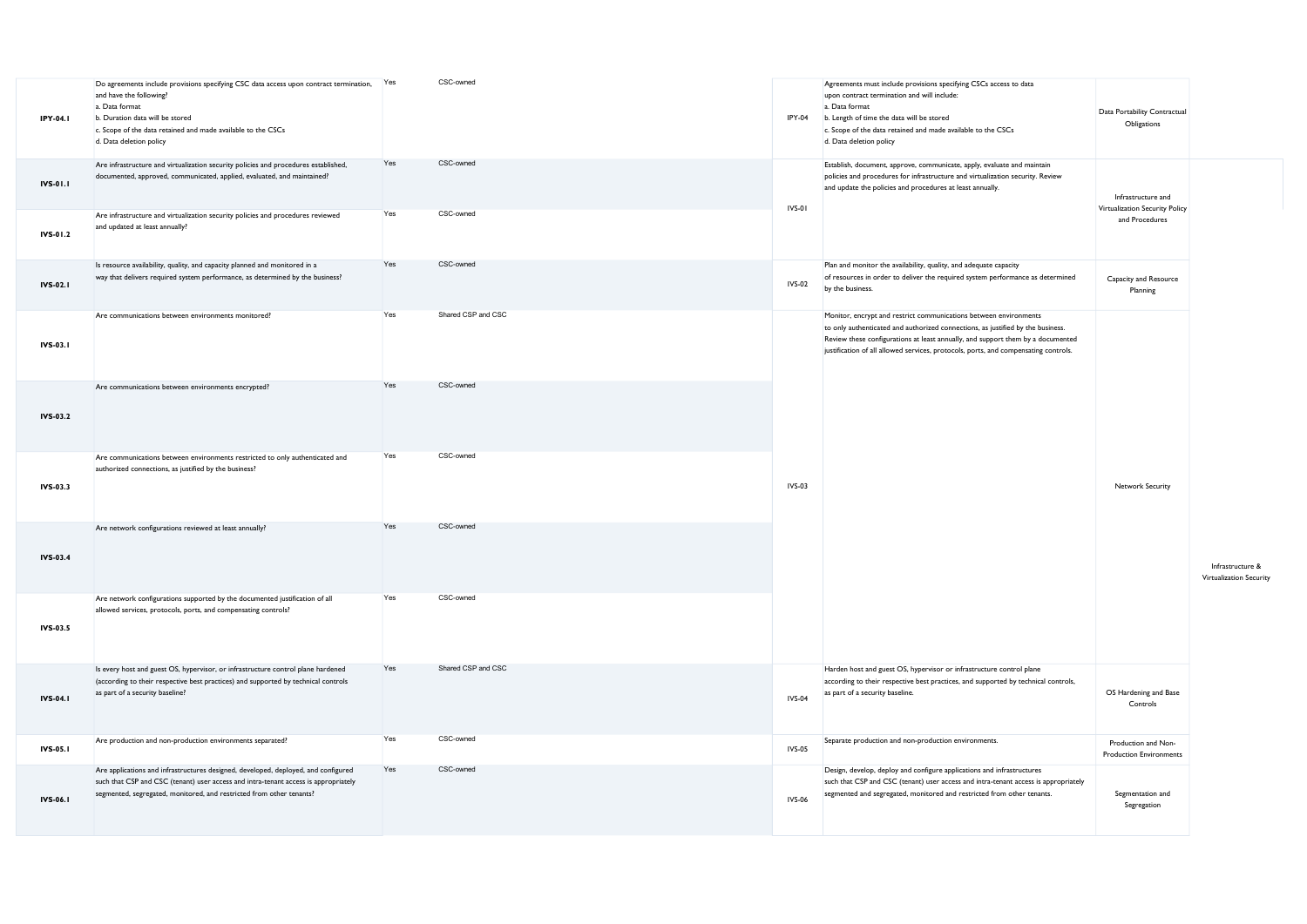| <b>IPY-04.1</b> | Do agreements include provisions specifying CSC data access upon contract termination,<br>and have the following?<br>a. Data format<br>b. Duration data will be stored<br>c. Scope of the data retained and made available to the CSCs<br>d. Data deletion policy | Yes | CSC-owned          | IPY-04        | Agreements must include provisions specifying CSCs access to data<br>upon contract termination and will include:<br>a. Data format<br>b. Length of time the data will be stored<br>c. Scope of the data retained and made available to the CSCs<br>d. Data deletion policy                                                     |
|-----------------|-------------------------------------------------------------------------------------------------------------------------------------------------------------------------------------------------------------------------------------------------------------------|-----|--------------------|---------------|--------------------------------------------------------------------------------------------------------------------------------------------------------------------------------------------------------------------------------------------------------------------------------------------------------------------------------|
| <b>IVS-01.1</b> | Are infrastructure and virtualization security policies and procedures established,<br>documented, approved, communicated, applied, evaluated, and maintained?                                                                                                    | Yes | CSC-owned          | IVS-01        | Establish, document, approve, communicate, apply, evaluate and maintain<br>policies and procedures for infrastructure and virtualization security. Review<br>and update the policies and procedures at least annually.                                                                                                         |
| <b>IVS-01.2</b> | Are infrastructure and virtualization security policies and procedures reviewed<br>and updated at least annually?                                                                                                                                                 | Yes | CSC-owned          |               |                                                                                                                                                                                                                                                                                                                                |
| <b>IVS-02.1</b> | Is resource availability, quality, and capacity planned and monitored in a<br>way that delivers required system performance, as determined by the business?                                                                                                       | Yes | CSC-owned          | <b>IVS-02</b> | Plan and monitor the availability, quality, and adequate capacity<br>of resources in order to deliver the required system performance as determined<br>by the business.                                                                                                                                                        |
| <b>IVS-03.1</b> | Are communications between environments monitored?                                                                                                                                                                                                                | Yes | Shared CSP and CSC |               | Monitor, encrypt and restrict communications between environments<br>to only authenticated and authorized connections, as justified by the business.<br>Review these configurations at least annually, and support them by a documented<br>justification of all allowed services, protocols, ports, and compensating controls. |
| <b>IVS-03.2</b> | Are communications between environments encrypted?                                                                                                                                                                                                                | Yes | CSC-owned          |               |                                                                                                                                                                                                                                                                                                                                |
| <b>IVS-03.3</b> | Are communications between environments restricted to only authenticated and<br>authorized connections, as justified by the business?                                                                                                                             | Yes | CSC-owned          | <b>IVS-03</b> |                                                                                                                                                                                                                                                                                                                                |
| <b>IVS-03.4</b> | Are network configurations reviewed at least annually?                                                                                                                                                                                                            | Yes | CSC-owned          |               |                                                                                                                                                                                                                                                                                                                                |
| <b>IVS-03.5</b> | Are network configurations supported by the documented justification of all<br>allowed services, protocols, ports, and compensating controls?                                                                                                                     | Yes | CSC-owned          |               |                                                                                                                                                                                                                                                                                                                                |
| <b>IVS-04.1</b> | Is every host and guest OS, hypervisor, or infrastructure control plane hardened<br>(according to their respective best practices) and supported by technical controls<br>as part of a security baseline?                                                         | Yes | Shared CSP and CSC | <b>IVS-04</b> | Harden host and guest OS, hypervisor or infrastructure control plane<br>according to their respective best practices, and supported by technical controls,<br>as part of a security baseline.                                                                                                                                  |
| <b>IVS-05.1</b> | Are production and non-production environments separated?                                                                                                                                                                                                         | Yes | CSC-owned          | <b>IVS-05</b> | Separate production and non-production environments.                                                                                                                                                                                                                                                                           |
| <b>IVS-06.1</b> | Are applications and infrastructures designed, developed, deployed, and configured<br>such that CSP and CSC (tenant) user access and intra-tenant access is appropriately<br>segmented, segregated, monitored, and restricted from other tenants?                 | Yes | CSC-owned          | <b>IVS-06</b> | Design, develop, deploy and configure applications and infrastructures<br>such that CSP and CSC (tenant) user access and intra-tenant access is appropriately<br>segmented and segregated, monitored and restricted from other tenants.                                                                                        |

| Agreements must include provisions specifying CSCs access to data<br>upon contract termination and will include:<br>a. Data format<br>b. Length of time the data will be stored<br>c. Scope of the data retained and made available to the CSCs<br>d. Data deletion policy                                                     | Data Portability Contractual<br>Obligations                            |                                             |
|--------------------------------------------------------------------------------------------------------------------------------------------------------------------------------------------------------------------------------------------------------------------------------------------------------------------------------|------------------------------------------------------------------------|---------------------------------------------|
| Establish, document, approve, communicate, apply, evaluate and maintain<br>policies and procedures for infrastructure and virtualization security. Review<br>and update the policies and procedures at least annually.                                                                                                         | Infrastructure and<br>Virtualization Security Policy<br>and Procedures |                                             |
| Plan and monitor the availability, quality, and adequate capacity<br>of resources in order to deliver the required system performance as determined<br>by the business.                                                                                                                                                        | Capacity and Resource<br>Planning                                      |                                             |
| Monitor, encrypt and restrict communications between environments<br>to only authenticated and authorized connections, as justified by the business.<br>Review these configurations at least annually, and support them by a documented<br>justification of all allowed services, protocols, ports, and compensating controls. | Network Security                                                       | Infrastructure &<br>Virtualization Security |
| Harden host and guest OS, hypervisor or infrastructure control plane<br>according to their respective best practices, and supported by technical controls,<br>as part of a security baseline.                                                                                                                                  | OS Hardening and Base<br>Controls                                      |                                             |
| Separate production and non-production environments.                                                                                                                                                                                                                                                                           | Production and Non-<br><b>Production Environments</b>                  |                                             |
| Design, develop, deploy and configure applications and infrastructures<br>such that CSP and CSC (tenant) user access and intra-tenant access is appropriately<br>segmented and segregated, monitored and restricted from other tenants.                                                                                        | Segmentation and<br>Segregation                                        |                                             |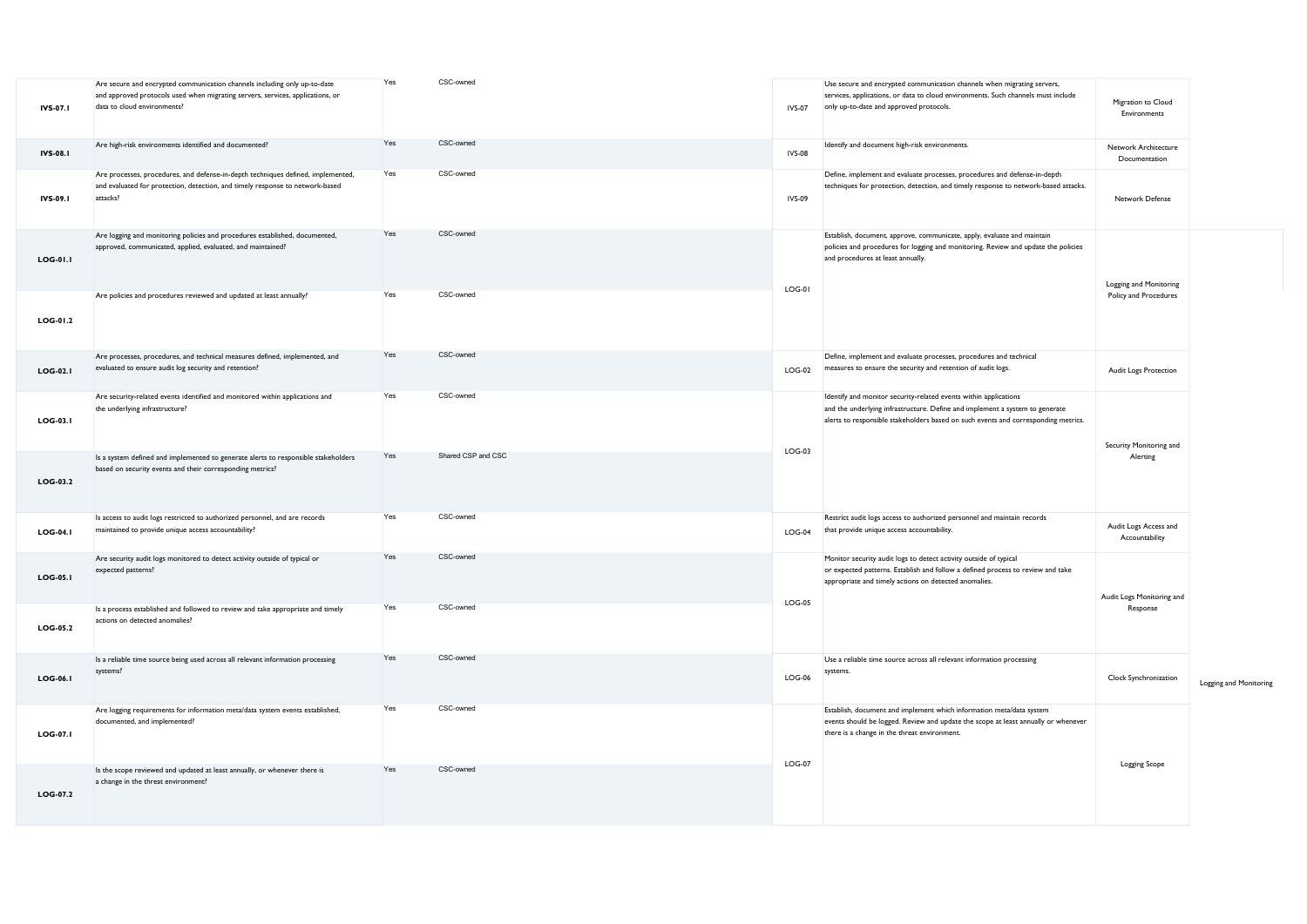| <b>IVS-07.1</b> | Are secure and encrypted communication channels including only up-to-date<br>and approved protocols used when migrating servers, services, applications, or<br>data to cloud environments? | Yes | CSC-owned          | <b>IVS-07</b> | Use secure and encrypted communication channels when migrating servers,<br>services, applications, or data to cloud environments. Such channels must include<br>only up-to-date and approved protocols.                                | Migration to Cloud<br>Environments      |                        |
|-----------------|--------------------------------------------------------------------------------------------------------------------------------------------------------------------------------------------|-----|--------------------|---------------|----------------------------------------------------------------------------------------------------------------------------------------------------------------------------------------------------------------------------------------|-----------------------------------------|------------------------|
| <b>IVS-08.1</b> | Are high-risk environments identified and documented?                                                                                                                                      | Yes | CSC-owned          | <b>IVS-08</b> | Identify and document high-risk environments.                                                                                                                                                                                          | Network Architecture<br>Documentation   |                        |
| <b>IVS-09.1</b> | Are processes, procedures, and defense-in-depth techniques defined, implemented,<br>and evaluated for protection, detection, and timely response to network-based<br>attacks?              | Yes | CSC-owned          | <b>IVS-09</b> | Define, implement and evaluate processes, procedures and defense-in-depth<br>techniques for protection, detection, and timely response to network-based attacks.                                                                       | Network Defense                         |                        |
| <b>LOG-01.1</b> | Are logging and monitoring policies and procedures established, documented,<br>approved, communicated, applied, evaluated, and maintained?                                                 | Yes | CSC-owned          |               | Establish, document, approve, communicate, apply, evaluate and maintain<br>policies and procedures for logging and monitoring. Review and update the policies<br>and procedures at least annually.                                     | Logging and Monitoring                  |                        |
| LOG-01.2        | Are policies and procedures reviewed and updated at least annually?                                                                                                                        | Yes | CSC-owned          | LOG-01        |                                                                                                                                                                                                                                        | Policy and Procedures                   |                        |
| <b>LOG-02.1</b> | Are processes, procedures, and technical measures defined, implemented, and<br>evaluated to ensure audit log security and retention?                                                       | Yes | CSC-owned          | $LOG-02$      | Define, implement and evaluate processes, procedures and technical<br>measures to ensure the security and retention of audit logs.                                                                                                     | Audit Logs Protection                   |                        |
| $LOG-03.1$      | Are security-related events identified and monitored within applications and<br>the underlying infrastructure?                                                                             | Yes | CSC-owned          |               | Identify and monitor security-related events within applications<br>and the underlying infrastructure. Define and implement a system to generate<br>alerts to responsible stakeholders based on such events and corresponding metrics. | Security Monitoring and                 |                        |
| $LOG-03.2$      | Is a system defined and implemented to generate alerts to responsible stakeholders<br>based on security events and their corresponding metrics?                                            | Yes | Shared CSP and CSC | $LOG-03$      |                                                                                                                                                                                                                                        | Alerting                                |                        |
| $LOG-04.1$      | Is access to audit logs restricted to authorized personnel, and are records<br>maintained to provide unique access accountability?                                                         | Yes | CSC-owned          | $LOG-04$      | Restrict audit logs access to authorized personnel and maintain records<br>that provide unique access accountability.                                                                                                                  | Audit Logs Access and<br>Accountability |                        |
| <b>LOG-05.1</b> | Are security audit logs monitored to detect activity outside of typical or<br>expected patterns?                                                                                           | Yes | CSC-owned          |               | Monitor security audit logs to detect activity outside of typical<br>or expected patterns. Establish and follow a defined process to review and take<br>appropriate and timely actions on detected anomalies.                          | Audit Logs Monitoring and               |                        |
| <b>LOG-05.2</b> | Is a process established and followed to review and take appropriate and timely<br>actions on detected anomalies?                                                                          | Yes | CSC-owned          | $LOG-05$      |                                                                                                                                                                                                                                        | Response                                |                        |
| <b>LOG-06.1</b> | Is a reliable time source being used across all relevant information processing<br>systems?                                                                                                | Yes | CSC-owned          | $LOG-06$      | Use a reliable time source across all relevant information processing<br>systems.                                                                                                                                                      | Clock Synchronization                   | Logging and Monitoring |
| <b>LOG-07.1</b> | Are logging requirements for information meta/data system events established,<br>documented, and implemented?                                                                              | Yes | CSC-owned          |               | Establish, document and implement which information meta/data system<br>events should be logged. Review and update the scope at least annually or whenever<br>there is a change in the threat environment.                             |                                         |                        |
| LOG-07.2        | Is the scope reviewed and updated at least annually, or whenever there is<br>a change in the threat environment?                                                                           | Yes | CSC-owned          | $LOG-07$      |                                                                                                                                                                                                                                        | Logging Scope                           |                        |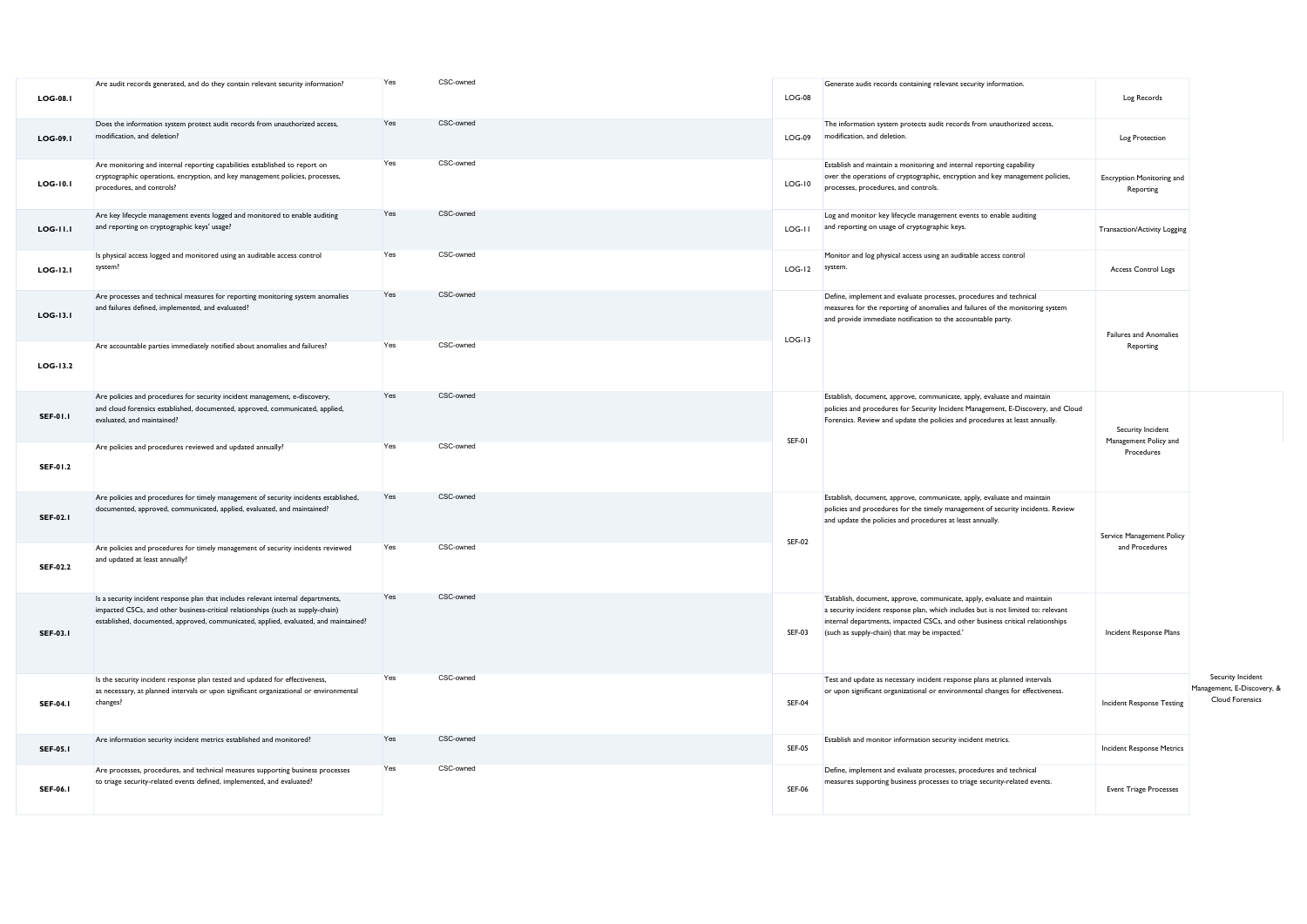| <b>LOG-08.1</b> | Are audit records generated, and do they contain relevant security information?                                                                                                                                                                              | Yes | CSC-owned | $LOG-08$      | Generate audit records containing relevant security information.                                                                                                                                                                                                                                 | Log Records                                |                                                                    |
|-----------------|--------------------------------------------------------------------------------------------------------------------------------------------------------------------------------------------------------------------------------------------------------------|-----|-----------|---------------|--------------------------------------------------------------------------------------------------------------------------------------------------------------------------------------------------------------------------------------------------------------------------------------------------|--------------------------------------------|--------------------------------------------------------------------|
| <b>LOG-09.1</b> | Does the information system protect audit records from unauthorized access,<br>modification, and deletion?                                                                                                                                                   | Yes | CSC-owned | $LOG-09$      | The information system protects audit records from unauthorized access,<br>modification, and deletion.                                                                                                                                                                                           | Log Protection                             |                                                                    |
| <b>LOG-10.1</b> | Are monitoring and internal reporting capabilities established to report on<br>cryptographic operations, encryption, and key management policies, processes,<br>procedures, and controls?                                                                    | Yes | CSC-owned | LOG-10        | Establish and maintain a monitoring and internal reporting capability<br>over the operations of cryptographic, encryption and key management policies,<br>processes, procedures, and controls.                                                                                                   | Encryption Monitoring and<br>Reporting     |                                                                    |
| <b>LOG-11.1</b> | Are key lifecycle management events logged and monitored to enable auditing<br>and reporting on cryptographic keys' usage?                                                                                                                                   | Yes | CSC-owned | LOG-11        | Log and monitor key lifecycle management events to enable auditing<br>and reporting on usage of cryptographic keys.                                                                                                                                                                              | <b>Transaction/Activity Logging</b>        |                                                                    |
| <b>LOG-12.1</b> | Is physical access logged and monitored using an auditable access control<br>system?                                                                                                                                                                         | Yes | CSC-owned | LOG-12        | Monitor and log physical access using an auditable access control<br>system.                                                                                                                                                                                                                     | <b>Access Control Logs</b>                 |                                                                    |
| <b>LOG-13.1</b> | Are processes and technical measures for reporting monitoring system anomalies<br>and failures defined, implemented, and evaluated?                                                                                                                          | Yes | CSC-owned | $LOG-13$      | Define, implement and evaluate processes, procedures and technical<br>measures for the reporting of anomalies and failures of the monitoring system<br>and provide immediate notification to the accountable party.                                                                              | <b>Failures and Anomalies</b>              |                                                                    |
| $LOG-13.2$      | Are accountable parties immediately notified about anomalies and failures?                                                                                                                                                                                   | Yes | CSC-owned |               |                                                                                                                                                                                                                                                                                                  | Reporting                                  |                                                                    |
| <b>SEF-01.1</b> | Are policies and procedures for security incident management, e-discovery,<br>and cloud forensics established, documented, approved, communicated, applied,<br>evaluated, and maintained?                                                                    | Yes | CSC-owned | SEF-01        | Establish, document, approve, communicate, apply, evaluate and maintain<br>policies and procedures for Security Incident Management, E-Discovery, and Cloud<br>Forensics. Review and update the policies and procedures at least annually.                                                       | Security Incident<br>Management Policy and |                                                                    |
| <b>SEF-01.2</b> | Are policies and procedures reviewed and updated annually?                                                                                                                                                                                                   | Yes | CSC-owned |               |                                                                                                                                                                                                                                                                                                  | Procedures                                 |                                                                    |
| <b>SEF-02.1</b> | Are policies and procedures for timely management of security incidents established,<br>documented, approved, communicated, applied, evaluated, and maintained?                                                                                              | Yes | CSC-owned |               | Establish, document, approve, communicate, apply, evaluate and maintain<br>policies and procedures for the timely management of security incidents. Review<br>and update the policies and procedures at least annually.                                                                          | Service Management Policy                  |                                                                    |
| <b>SEF-02.2</b> | Are policies and procedures for timely management of security incidents reviewed<br>and updated at least annually?                                                                                                                                           | Yes | CSC-owned | <b>SEF-02</b> |                                                                                                                                                                                                                                                                                                  | and Procedures                             |                                                                    |
| <b>SEF-03.1</b> | Is a security incident response plan that includes relevant internal departments,<br>impacted CSCs, and other business-critical relationships (such as supply-chain)<br>established, documented, approved, communicated, applied, evaluated, and maintained? | Yes | CSC-owned | <b>SEF-03</b> | 'Establish, document, approve, communicate, apply, evaluate and maintain<br>a security incident response plan, which includes but is not limited to: relevant<br>internal departments, impacted CSCs, and other business critical relationships<br>(such as supply-chain) that may be impacted.' | Incident Response Plans                    |                                                                    |
| <b>SEF-04.1</b> | Is the security incident response plan tested and updated for effectiveness,<br>as necessary, at planned intervals or upon significant organizational or environmental<br>changes?                                                                           | Yes | CSC-owned | <b>SEF-04</b> | Test and update as necessary incident response plans at planned intervals<br>or upon significant organizational or environmental changes for effectiveness.                                                                                                                                      | <b>Incident Response Testing</b>           | Security Incident<br>Management, E-Discovery, &<br>Cloud Forensics |
| <b>SEF-05.1</b> | Are information security incident metrics established and monitored?                                                                                                                                                                                         | Yes | CSC-owned | <b>SEF-05</b> | Establish and monitor information security incident metrics.                                                                                                                                                                                                                                     | Incident Response Metrics                  |                                                                    |
| <b>SEF-06.1</b> | Are processes, procedures, and technical measures supporting business processes<br>to triage security-related events defined, implemented, and evaluated?                                                                                                    | Yes | CSC-owned | <b>SEF-06</b> | Define, implement and evaluate processes, procedures and technical<br>measures supporting business processes to triage security-related events.                                                                                                                                                  | <b>Event Triage Processes</b>              |                                                                    |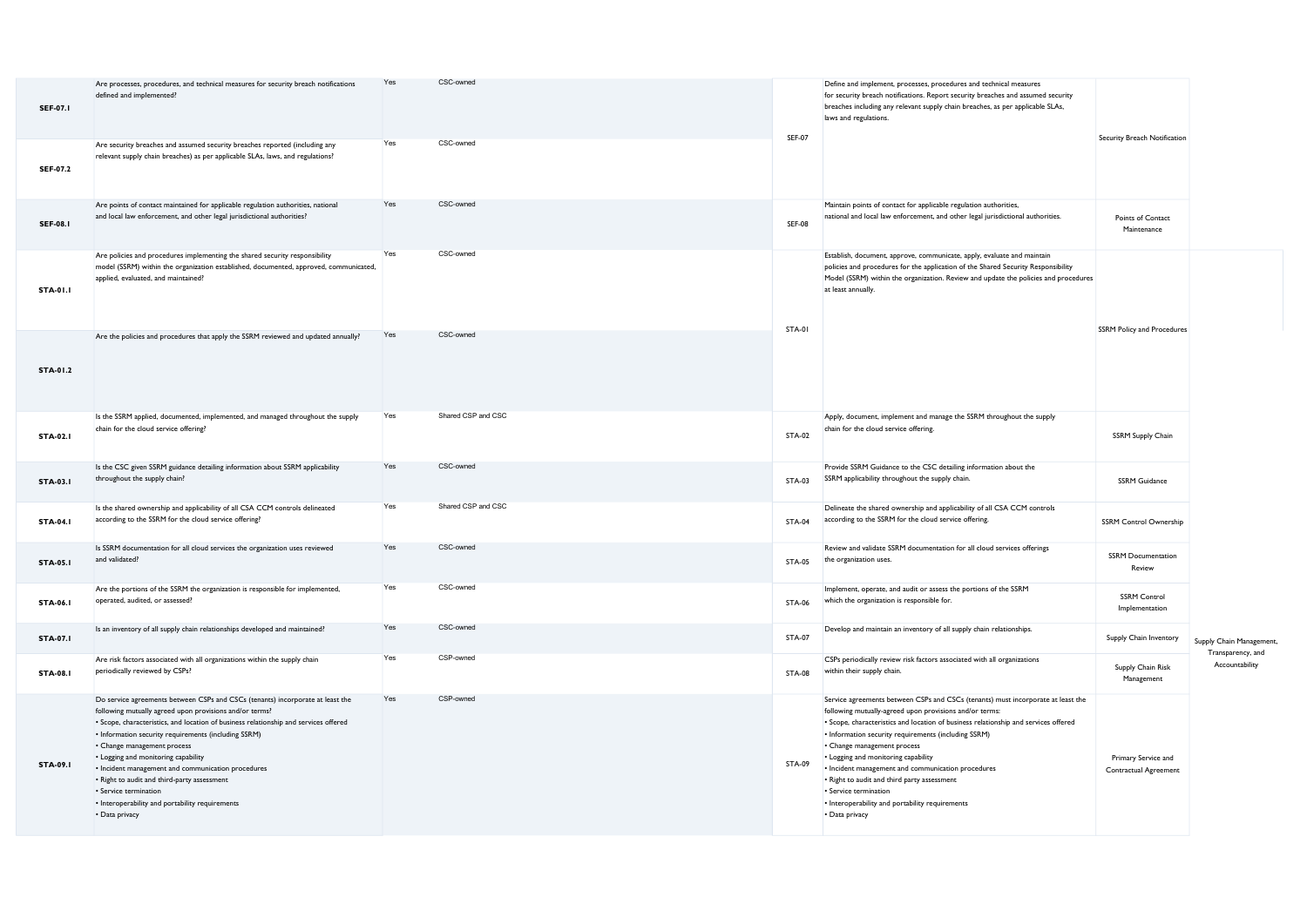| <b>SEF-07.1</b> | Are processes, procedures, and technical measures for security breach notifications<br>defined and implemented?                                                                                                                                                                                                                                                                                                                                                                                                                                                    | Yes | CSC-owned          | <b>SEF-07</b> | Define and implement, processes, procedures and technical measures<br>for security breach notifications. Report security breaches and assumed security<br>breaches including any relevant supply chain breaches, as per applicable SLAs,<br>laws and regulations.                                                                                                                                                                                                                                                                                                   | Security Breach Notification                 |                                               |
|-----------------|--------------------------------------------------------------------------------------------------------------------------------------------------------------------------------------------------------------------------------------------------------------------------------------------------------------------------------------------------------------------------------------------------------------------------------------------------------------------------------------------------------------------------------------------------------------------|-----|--------------------|---------------|---------------------------------------------------------------------------------------------------------------------------------------------------------------------------------------------------------------------------------------------------------------------------------------------------------------------------------------------------------------------------------------------------------------------------------------------------------------------------------------------------------------------------------------------------------------------|----------------------------------------------|-----------------------------------------------|
| <b>SEF-07.2</b> | Are security breaches and assumed security breaches reported (including any<br>relevant supply chain breaches) as per applicable SLAs, laws, and regulations?                                                                                                                                                                                                                                                                                                                                                                                                      | Yes | CSC-owned          |               |                                                                                                                                                                                                                                                                                                                                                                                                                                                                                                                                                                     |                                              |                                               |
| <b>SEF-08.1</b> | Are points of contact maintained for applicable regulation authorities, national<br>and local law enforcement, and other legal jurisdictional authorities?                                                                                                                                                                                                                                                                                                                                                                                                         | Yes | CSC-owned          | <b>SEF-08</b> | Maintain points of contact for applicable regulation authorities,<br>national and local law enforcement, and other legal jurisdictional authorities.                                                                                                                                                                                                                                                                                                                                                                                                                | Points of Contact<br>Maintenance             |                                               |
| <b>STA-01.1</b> | Are policies and procedures implementing the shared security responsibility<br>model (SSRM) within the organization established, documented, approved, communicated,<br>applied, evaluated, and maintained?                                                                                                                                                                                                                                                                                                                                                        | Yes | CSC-owned          |               | Establish, document, approve, communicate, apply, evaluate and maintain<br>policies and procedures for the application of the Shared Security Responsibility<br>Model (SSRM) within the organization. Review and update the policies and procedures<br>at least annually.                                                                                                                                                                                                                                                                                           |                                              |                                               |
| <b>STA-01.2</b> | Are the policies and procedures that apply the SSRM reviewed and updated annually?                                                                                                                                                                                                                                                                                                                                                                                                                                                                                 | Yes | CSC-owned          | STA-01        |                                                                                                                                                                                                                                                                                                                                                                                                                                                                                                                                                                     | <b>SSRM Policy and Procedures</b>            |                                               |
| <b>STA-02.1</b> | Is the SSRM applied, documented, implemented, and managed throughout the supply<br>chain for the cloud service offering?                                                                                                                                                                                                                                                                                                                                                                                                                                           | Yes | Shared CSP and CSC | STA-02        | Apply, document, implement and manage the SSRM throughout the supply<br>chain for the cloud service offering.                                                                                                                                                                                                                                                                                                                                                                                                                                                       | SSRM Supply Chain                            |                                               |
| <b>STA-03.1</b> | Is the CSC given SSRM guidance detailing information about SSRM applicability<br>throughout the supply chain?                                                                                                                                                                                                                                                                                                                                                                                                                                                      | Yes | CSC-owned          | <b>STA-03</b> | Provide SSRM Guidance to the CSC detailing information about the<br>SSRM applicability throughout the supply chain.                                                                                                                                                                                                                                                                                                                                                                                                                                                 | <b>SSRM Guidance</b>                         |                                               |
| <b>STA-04.1</b> | Is the shared ownership and applicability of all CSA CCM controls delineated<br>according to the SSRM for the cloud service offering?                                                                                                                                                                                                                                                                                                                                                                                                                              | Yes | Shared CSP and CSC | <b>STA-04</b> | Delineate the shared ownership and applicability of all CSA CCM controls<br>according to the SSRM for the cloud service offering.                                                                                                                                                                                                                                                                                                                                                                                                                                   | <b>SSRM Control Ownership</b>                |                                               |
| <b>STA-05.1</b> | Is SSRM documentation for all cloud services the organization uses reviewed<br>and validated?                                                                                                                                                                                                                                                                                                                                                                                                                                                                      | Yes | CSC-owned          | <b>STA-05</b> | Review and validate SSRM documentation for all cloud services offerings<br>the organization uses.                                                                                                                                                                                                                                                                                                                                                                                                                                                                   | <b>SSRM Documentation</b><br>Review          |                                               |
| <b>STA-06.1</b> | Are the portions of the SSRM the organization is responsible for implemented,<br>operated, audited, or assessed?                                                                                                                                                                                                                                                                                                                                                                                                                                                   | Yes | CSC-owned          | STA-06        | Implement, operate, and audit or assess the portions of the SSRM<br>which the organization is responsible for.                                                                                                                                                                                                                                                                                                                                                                                                                                                      | <b>SSRM Control</b><br>Implementation        |                                               |
| <b>STA-07.1</b> | Is an inventory of all supply chain relationships developed and maintained?                                                                                                                                                                                                                                                                                                                                                                                                                                                                                        | Yes | CSC-owned          | <b>STA-07</b> | Develop and maintain an inventory of all supply chain relationships.                                                                                                                                                                                                                                                                                                                                                                                                                                                                                                | Supply Chain Inventory                       | Supply Chain Management,<br>Transparency, and |
| <b>STA-08.1</b> | Are risk factors associated with all organizations within the supply chain<br>periodically reviewed by CSPs?                                                                                                                                                                                                                                                                                                                                                                                                                                                       | Yes | CSP-owned          | <b>STA-08</b> | CSPs periodically review risk factors associated with all organizations<br>within their supply chain.                                                                                                                                                                                                                                                                                                                                                                                                                                                               | Supply Chain Risk<br>Management              | Accountability                                |
| <b>STA-09.1</b> | Do service agreements between CSPs and CSCs (tenants) incorporate at least the<br>following mutually agreed upon provisions and/or terms?<br>• Scope, characteristics, and location of business relationship and services offered<br>• Information security requirements (including SSRM)<br>• Change management process<br>• Logging and monitoring capability<br>• Incident management and communication procedures<br>• Right to audit and third-party assessment<br>• Service termination<br>• Interoperability and portability requirements<br>• Data privacy | Yes | CSP-owned          | STA-09        | Service agreements between CSPs and CSCs (tenants) must incorporate at least the<br>following mutually-agreed upon provisions and/or terms:<br>• Scope, characteristics and location of business relationship and services offered<br>• Information security requirements (including SSRM)<br>• Change management process<br>• Logging and monitoring capability<br>• Incident management and communication procedures<br>• Right to audit and third party assessment<br>• Service termination<br>• Interoperability and portability requirements<br>• Data privacy | Primary Service and<br>Contractual Agreement |                                               |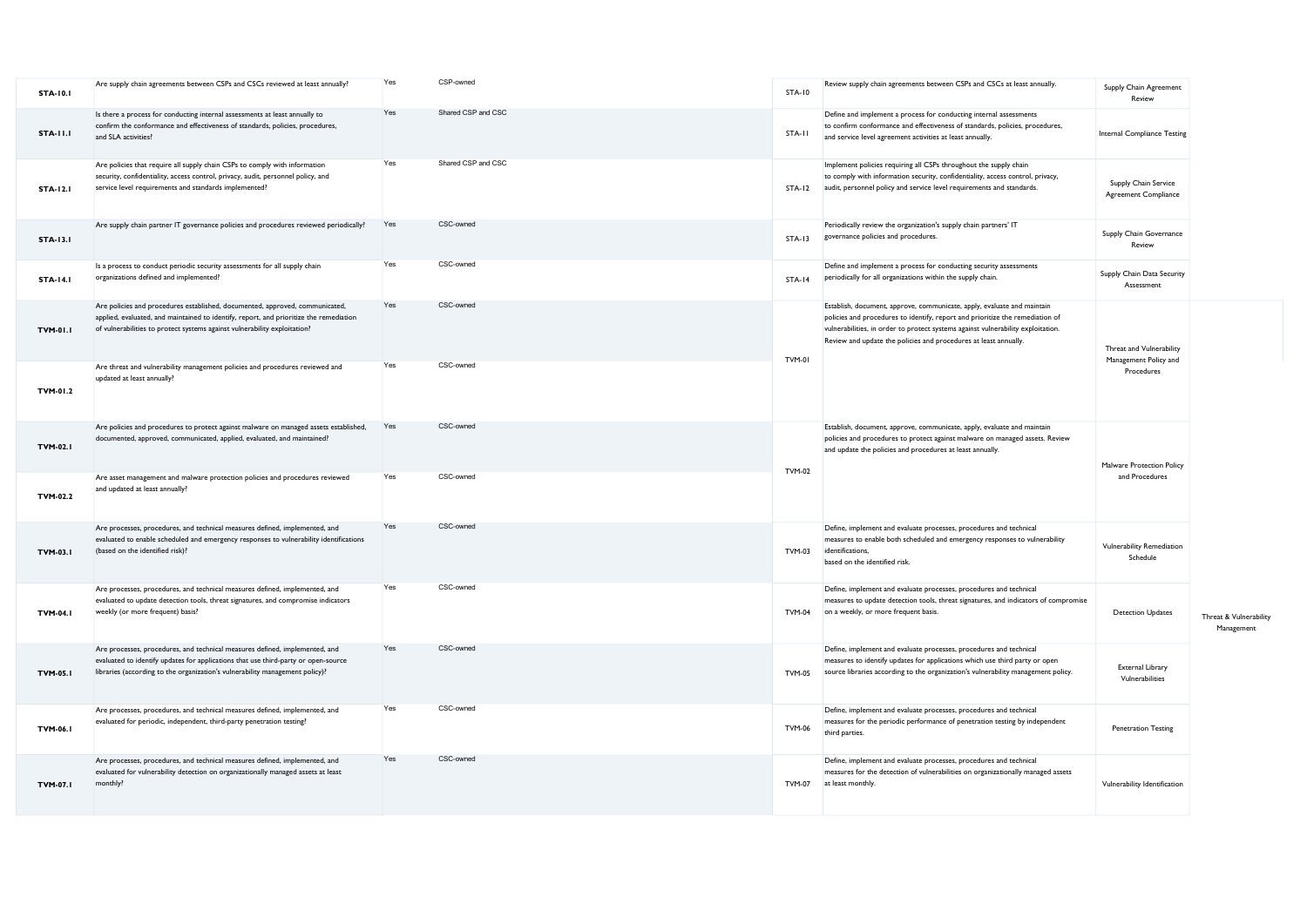| <b>STA-10.1</b> | Are supply chain agreements between CSPs and CSCs reviewed at least annually?                                                                                                                                                                       | Yes | CSP-owned          | <b>STA-10</b> | Review supply chain agreements between CSPs and CSCs at least annually.                                                                                                                                                                                                                                          | Supply Chain Agreement<br>Review             |                                      |
|-----------------|-----------------------------------------------------------------------------------------------------------------------------------------------------------------------------------------------------------------------------------------------------|-----|--------------------|---------------|------------------------------------------------------------------------------------------------------------------------------------------------------------------------------------------------------------------------------------------------------------------------------------------------------------------|----------------------------------------------|--------------------------------------|
| <b>STA-11.1</b> | Is there a process for conducting internal assessments at least annually to<br>confirm the conformance and effectiveness of standards, policies, procedures,<br>and SLA activities?                                                                 | Yes | Shared CSP and CSC | STA-11        | Define and implement a process for conducting internal assessments<br>to confirm conformance and effectiveness of standards, policies, procedures,<br>and service level agreement activities at least annually.                                                                                                  | Internal Compliance Testing                  |                                      |
| <b>STA-12.1</b> | Are policies that require all supply chain CSPs to comply with information<br>security, confidentiality, access control, privacy, audit, personnel policy, and<br>service level requirements and standards implemented?                             | Yes | Shared CSP and CSC | <b>STA-12</b> | Implement policies requiring all CSPs throughout the supply chain<br>to comply with information security, confidentiality, access control, privacy,<br>audit, personnel policy and service level requirements and standards.                                                                                     | Supply Chain Service<br>Agreement Compliance |                                      |
| <b>STA-13.1</b> | Are supply chain partner IT governance policies and procedures reviewed periodically?                                                                                                                                                               | Yes | CSC-owned          | <b>STA-13</b> | Periodically review the organization's supply chain partners' IT<br>governance policies and procedures.                                                                                                                                                                                                          | Supply Chain Governance<br>Review            |                                      |
| <b>STA-14.1</b> | Is a process to conduct periodic security assessments for all supply chain<br>organizations defined and implemented?                                                                                                                                | Yes | CSC-owned          | $STA-14$      | Define and implement a process for conducting security assessments<br>periodically for all organizations within the supply chain.                                                                                                                                                                                | Supply Chain Data Security<br>Assessment     |                                      |
| <b>TVM-01.1</b> | Are policies and procedures established, documented, approved, communicated,<br>applied, evaluated, and maintained to identify, report, and prioritize the remediation<br>of vulnerabilities to protect systems against vulnerability exploitation? | Yes | CSC-owned          |               | Establish, document, approve, communicate, apply, evaluate and maintain<br>policies and procedures to identify, report and prioritize the remediation of<br>vulnerabilities, in order to protect systems against vulnerability exploitation.<br>Review and update the policies and procedures at least annually. | Threat and Vulnerability                     |                                      |
| TVM-01.2        | Are threat and vulnerability management policies and procedures reviewed and<br>updated at least annually?                                                                                                                                          | Yes | CSC-owned          | TVM-01        |                                                                                                                                                                                                                                                                                                                  | Management Policy and<br>Procedures          |                                      |
| <b>TVM-02.1</b> | Are policies and procedures to protect against malware on managed assets established,<br>documented, approved, communicated, applied, evaluated, and maintained?                                                                                    | Yes | CSC-owned          |               | Establish, document, approve, communicate, apply, evaluate and maintain<br>policies and procedures to protect against malware on managed assets. Review<br>and update the policies and procedures at least annually.                                                                                             | Malware Protection Policy                    |                                      |
| TVM-02.2        | Are asset management and malware protection policies and procedures reviewed<br>and updated at least annually?                                                                                                                                      | Yes | CSC-owned          | <b>TVM-02</b> |                                                                                                                                                                                                                                                                                                                  | and Procedures                               |                                      |
| <b>TVM-03.1</b> | Are processes, procedures, and technical measures defined, implemented, and<br>evaluated to enable scheduled and emergency responses to vulnerability identifications<br>(based on the identified risk)?                                            | Yes | CSC-owned          | TVM-03        | Define, implement and evaluate processes, procedures and technical<br>measures to enable both scheduled and emergency responses to vulnerability<br>identifications,<br>based on the identified risk.                                                                                                            | Vulnerability Remediation<br>Schedule        |                                      |
| <b>TVM-04.1</b> | Are processes, procedures, and technical measures defined, implemented, and<br>evaluated to update detection tools, threat signatures, and compromise indicators<br>weekly (or more frequent) basis?                                                | Yes | CSC-owned          | <b>TVM-04</b> | Define, implement and evaluate processes, procedures and technical<br>measures to update detection tools, threat signatures, and indicators of compromise<br>on a weekly, or more frequent basis.                                                                                                                | <b>Detection Updates</b>                     | Threat & Vulnerability<br>Management |
| <b>TVM-05.1</b> | Are processes, procedures, and technical measures defined, implemented, and<br>evaluated to identify updates for applications that use third-party or open-source<br>libraries (according to the organization's vulnerability management policy)?   | Yes | CSC-owned          | TVM-05        | Define, implement and evaluate processes, procedures and technical<br>measures to identify updates for applications which use third party or open<br>source libraries according to the organization's vulnerability management policy.                                                                           | External Library<br>Vulnerabilities          |                                      |
| <b>TVM-06.1</b> | Are processes, procedures, and technical measures defined, implemented, and<br>evaluated for periodic, independent, third-party penetration testing?                                                                                                | Yes | CSC-owned          | <b>TVM-06</b> | Define, implement and evaluate processes, procedures and technical<br>measures for the periodic performance of penetration testing by independent<br>third parties.                                                                                                                                              | <b>Penetration Testing</b>                   |                                      |
| <b>TVM-07.1</b> | Are processes, procedures, and technical measures defined, implemented, and<br>evaluated for vulnerability detection on organizationally managed assets at least<br>monthly?                                                                        | Yes | CSC-owned          | <b>TVM-07</b> | Define, implement and evaluate processes, procedures and technical<br>measures for the detection of vulnerabilities on organizationally managed assets<br>at least monthly.                                                                                                                                      | Vulnerability Identification                 |                                      |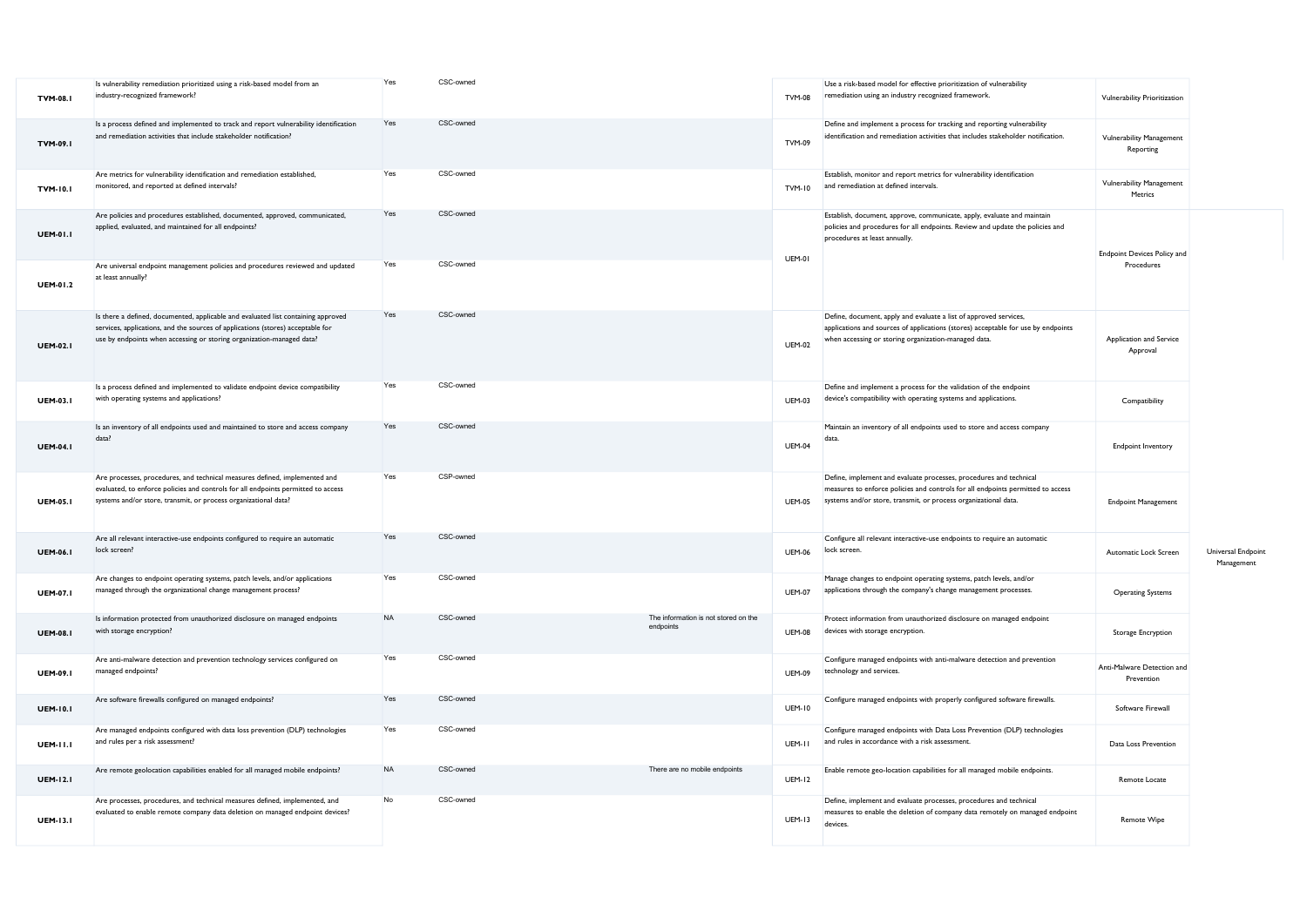| <b>TVM-08.1</b> | Is vulnerability remediation prioritized using a risk-based model from an<br>industry-recognized framework?                                                                                                                                   | Yes       | CSC-owned |                                                   | <b>TVM-08</b> | Use a risk-based model for effective prioritization of vulnerability<br>remediation using an industry recognized framework.                                                                                              | Vulnerability Prioritization                 |                                  |
|-----------------|-----------------------------------------------------------------------------------------------------------------------------------------------------------------------------------------------------------------------------------------------|-----------|-----------|---------------------------------------------------|---------------|--------------------------------------------------------------------------------------------------------------------------------------------------------------------------------------------------------------------------|----------------------------------------------|----------------------------------|
| <b>TVM-09.1</b> | Is a process defined and implemented to track and report vulnerability identification<br>and remediation activities that include stakeholder notification?                                                                                    | Yes       | CSC-owned |                                                   | <b>TVM-09</b> | Define and implement a process for tracking and reporting vulnerability<br>identification and remediation activities that includes stakeholder notification.                                                             | <b>Vulnerability Management</b><br>Reporting |                                  |
| <b>TVM-10.1</b> | Are metrics for vulnerability identification and remediation established,<br>monitored, and reported at defined intervals?                                                                                                                    | Yes       | CSC-owned |                                                   | <b>TVM-10</b> | Establish, monitor and report metrics for vulnerability identification<br>and remediation at defined intervals.                                                                                                          | <b>Vulnerability Management</b><br>Metrics   |                                  |
| <b>UEM-01.1</b> | Are policies and procedures established, documented, approved, communicated,<br>applied, evaluated, and maintained for all endpoints?                                                                                                         | Yes       | CSC-owned |                                                   | UEM-01        | Establish, document, approve, communicate, apply, evaluate and maintain<br>policies and procedures for all endpoints. Review and update the policies and<br>procedures at least annually.                                | Endpoint Devices Policy and                  |                                  |
| <b>UEM-01.2</b> | Are universal endpoint management policies and procedures reviewed and updated<br>at least annually?                                                                                                                                          | Yes       | CSC-owned |                                                   |               |                                                                                                                                                                                                                          | Procedures                                   |                                  |
| <b>UEM-02.1</b> | Is there a defined, documented, applicable and evaluated list containing approved<br>services, applications, and the sources of applications (stores) acceptable for<br>use by endpoints when accessing or storing organization-managed data? | Yes       | CSC-owned |                                                   | <b>UEM-02</b> | Define, document, apply and evaluate a list of approved services,<br>applications and sources of applications (stores) acceptable for use by endpoints<br>when accessing or storing organization-managed data.           | Application and Service<br>Approval          |                                  |
| <b>UEM-03.1</b> | Is a process defined and implemented to validate endpoint device compatibility<br>with operating systems and applications?                                                                                                                    | Yes       | CSC-owned |                                                   | <b>UEM-03</b> | Define and implement a process for the validation of the endpoint<br>device's compatibility with operating systems and applications.                                                                                     | Compatibility                                |                                  |
| <b>UEM-04.1</b> | Is an inventory of all endpoints used and maintained to store and access company<br>data?                                                                                                                                                     | Yes       | CSC-owned |                                                   | <b>UEM-04</b> | Maintain an inventory of all endpoints used to store and access company<br>data.                                                                                                                                         | <b>Endpoint Inventory</b>                    |                                  |
| <b>UEM-05.1</b> | Are processes, procedures, and technical measures defined, implemented and<br>evaluated, to enforce policies and controls for all endpoints permitted to access<br>systems and/or store, transmit, or process organizational data?            | Yes       | CSP-owned |                                                   | <b>UEM-05</b> | Define, implement and evaluate processes, procedures and technical<br>measures to enforce policies and controls for all endpoints permitted to access<br>systems and/or store, transmit, or process organizational data. | <b>Endpoint Management</b>                   |                                  |
| <b>UEM-06.1</b> | Are all relevant interactive-use endpoints configured to require an automatic<br>lock screen?                                                                                                                                                 | Yes       | CSC-owned |                                                   | <b>UEM-06</b> | Configure all relevant interactive-use endpoints to require an automatic<br>lock screen.                                                                                                                                 | Automatic Lock Screen                        | Universal Endpoint<br>Management |
| <b>UEM-07.1</b> | Are changes to endpoint operating systems, patch levels, and/or applications<br>managed through the organizational change management process?                                                                                                 | Yes       | CSC-owned |                                                   | <b>UEM-07</b> | Manage changes to endpoint operating systems, patch levels, and/or<br>applications through the company's change management processes.                                                                                    | <b>Operating Systems</b>                     |                                  |
| <b>UEM-08.1</b> | Is information protected from unauthorized disclosure on managed endpoints<br>with storage encryption?                                                                                                                                        | <b>NA</b> | CSC-owned | The information is not stored on the<br>endpoints | <b>UEM-08</b> | Protect information from unauthorized disclosure on managed endpoint<br>devices with storage encryption.                                                                                                                 | Storage Encryption                           |                                  |
| <b>UEM-09.1</b> | Are anti-malware detection and prevention technology services configured on<br>managed endpoints?                                                                                                                                             | Yes       | CSC-owned |                                                   | <b>UEM-09</b> | Configure managed endpoints with anti-malware detection and prevention<br>technology and services.                                                                                                                       | Anti-Malware Detection and<br>Prevention     |                                  |
| <b>UEM-10.1</b> | Are software firewalls configured on managed endpoints?                                                                                                                                                                                       | Yes       | CSC-owned |                                                   | <b>UEM-10</b> | Configure managed endpoints with properly configured software firewalls.                                                                                                                                                 | Software Firewall                            |                                  |
| <b>UEM-11.1</b> | Are managed endpoints configured with data loss prevention (DLP) technologies<br>and rules per a risk assessment?                                                                                                                             | Yes       | CSC-owned |                                                   | UEM-II        | Configure managed endpoints with Data Loss Prevention (DLP) technologies<br>and rules in accordance with a risk assessment.                                                                                              | Data Loss Prevention                         |                                  |
| <b>UEM-12.1</b> | Are remote geolocation capabilities enabled for all managed mobile endpoints?                                                                                                                                                                 | <b>NA</b> | CSC-owned | There are no mobile endpoints                     | <b>UEM-12</b> | Enable remote geo-location capabilities for all managed mobile endpoints.                                                                                                                                                | Remote Locate                                |                                  |
| <b>UEM-13.1</b> | Are processes, procedures, and technical measures defined, implemented, and<br>evaluated to enable remote company data deletion on managed endpoint devices?                                                                                  | No        | CSC-owned |                                                   | <b>UEM-13</b> | Define, implement and evaluate processes, procedures and technical<br>measures to enable the deletion of company data remotely on managed endpoint<br>devices.                                                           | Remote Wipe                                  |                                  |